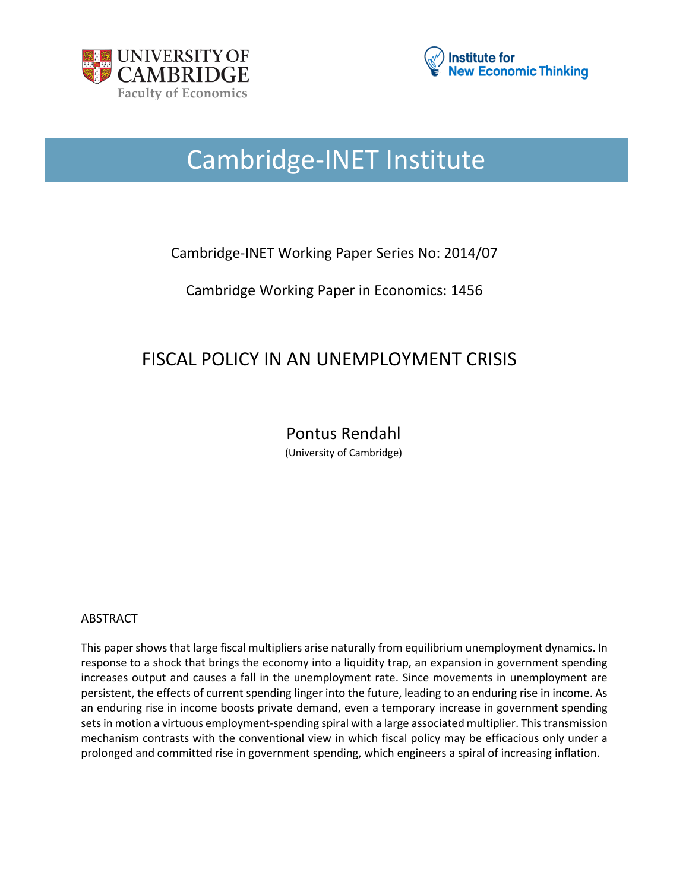



# Cambridge-INET Institute

# Cambridge-INET Working Paper Series No: 2014/07

Cambridge Working Paper in Economics: 1456

# FISCAL POLICY IN AN UNEMPLOYMENT CRISIS

Pontus Rendahl (University of Cambridge)

# ABSTRACT

This paper shows that large fiscal multipliers arise naturally from equilibrium unemployment dynamics. In response to a shock that brings the economy into a liquidity trap, an expansion in government spending increases output and causes a fall in the unemployment rate. Since movements in unemployment are persistent, the effects of current spending linger into the future, leading to an enduring rise in income. As an enduring rise in income boosts private demand, even a temporary increase in government spending sets in motion a virtuous employment-spending spiral with a large associated multiplier. This transmission mechanism contrasts with the conventional view in which fiscal policy may be efficacious only under a prolonged and committed rise in government spending, which engineers a spiral of increasing inflation.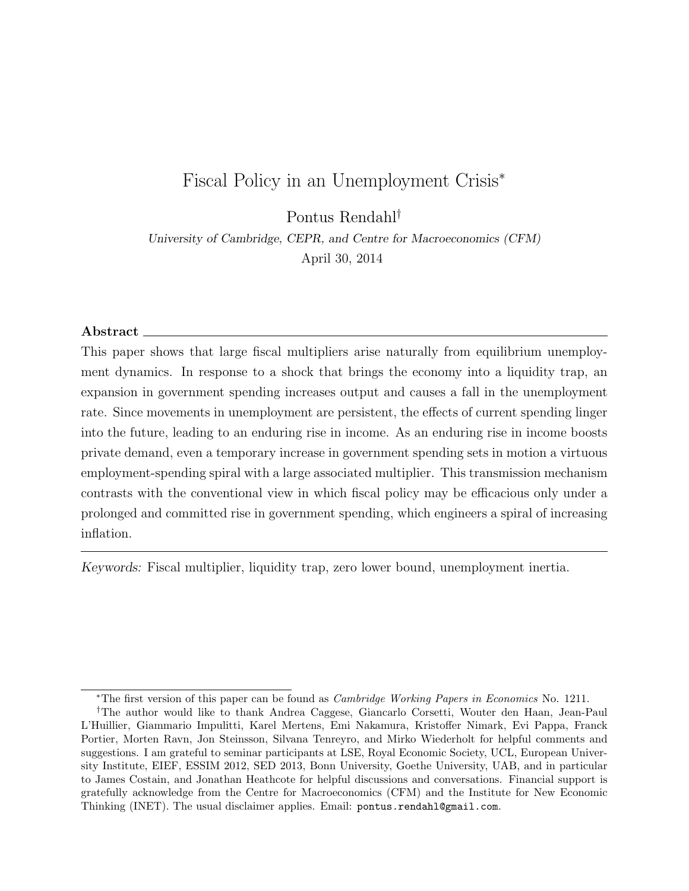# Fiscal Policy in an Unemployment Crisis<sup>∗</sup>

Pontus Rendahl†

University of Cambridge, CEPR, and Centre for Macroeconomics (CFM) April 30, 2014

#### Abstract  $\equiv$

This paper shows that large fiscal multipliers arise naturally from equilibrium unemployment dynamics. In response to a shock that brings the economy into a liquidity trap, an expansion in government spending increases output and causes a fall in the unemployment rate. Since movements in unemployment are persistent, the effects of current spending linger into the future, leading to an enduring rise in income. As an enduring rise in income boosts private demand, even a temporary increase in government spending sets in motion a virtuous employment-spending spiral with a large associated multiplier. This transmission mechanism contrasts with the conventional view in which fiscal policy may be efficacious only under a prolonged and committed rise in government spending, which engineers a spiral of increasing inflation.

Keywords: Fiscal multiplier, liquidity trap, zero lower bound, unemployment inertia.

<sup>∗</sup>The first version of this paper can be found as Cambridge Working Papers in Economics No. 1211.

<sup>†</sup>The author would like to thank Andrea Caggese, Giancarlo Corsetti, Wouter den Haan, Jean-Paul L'Huillier, Giammario Impulitti, Karel Mertens, Emi Nakamura, Kristoffer Nimark, Evi Pappa, Franck Portier, Morten Ravn, Jon Steinsson, Silvana Tenreyro, and Mirko Wiederholt for helpful comments and suggestions. I am grateful to seminar participants at LSE, Royal Economic Society, UCL, European University Institute, EIEF, ESSIM 2012, SED 2013, Bonn University, Goethe University, UAB, and in particular to James Costain, and Jonathan Heathcote for helpful discussions and conversations. Financial support is gratefully acknowledge from the Centre for Macroeconomics (CFM) and the Institute for New Economic Thinking (INET). The usual disclaimer applies. Email: pontus.rendahl@gmail.com.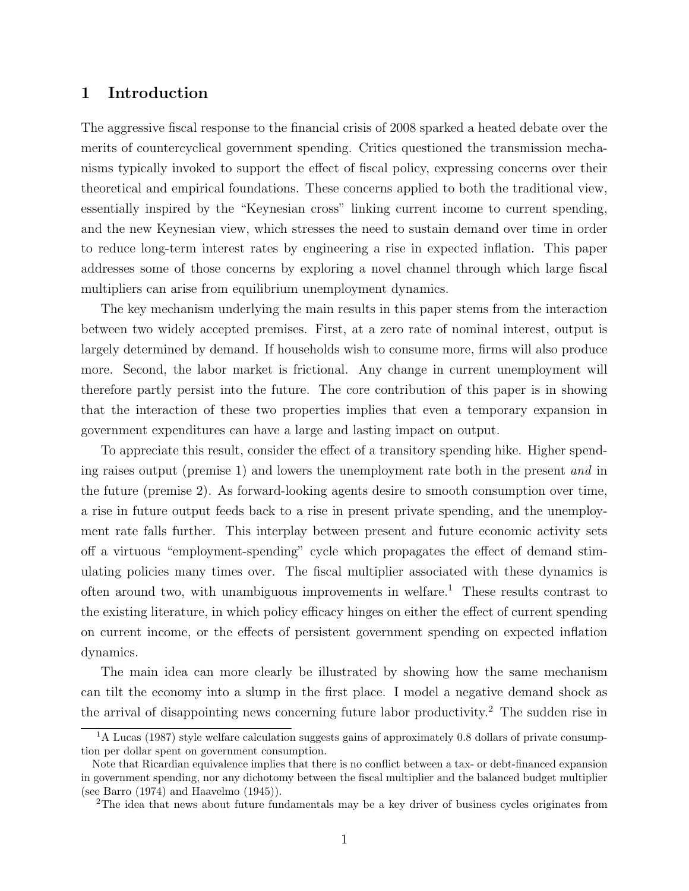# 1 Introduction

The aggressive fiscal response to the financial crisis of 2008 sparked a heated debate over the merits of countercyclical government spending. Critics questioned the transmission mechanisms typically invoked to support the effect of fiscal policy, expressing concerns over their theoretical and empirical foundations. These concerns applied to both the traditional view, essentially inspired by the "Keynesian cross" linking current income to current spending, and the new Keynesian view, which stresses the need to sustain demand over time in order to reduce long-term interest rates by engineering a rise in expected inflation. This paper addresses some of those concerns by exploring a novel channel through which large fiscal multipliers can arise from equilibrium unemployment dynamics.

The key mechanism underlying the main results in this paper stems from the interaction between two widely accepted premises. First, at a zero rate of nominal interest, output is largely determined by demand. If households wish to consume more, firms will also produce more. Second, the labor market is frictional. Any change in current unemployment will therefore partly persist into the future. The core contribution of this paper is in showing that the interaction of these two properties implies that even a temporary expansion in government expenditures can have a large and lasting impact on output.

To appreciate this result, consider the effect of a transitory spending hike. Higher spending raises output (premise 1) and lowers the unemployment rate both in the present and in the future (premise 2). As forward-looking agents desire to smooth consumption over time, a rise in future output feeds back to a rise in present private spending, and the unemployment rate falls further. This interplay between present and future economic activity sets off a virtuous "employment-spending" cycle which propagates the effect of demand stimulating policies many times over. The fiscal multiplier associated with these dynamics is often around two, with unambiguous improvements in welfare.<sup>1</sup> These results contrast to the existing literature, in which policy efficacy hinges on either the effect of current spending on current income, or the effects of persistent government spending on expected inflation dynamics.

The main idea can more clearly be illustrated by showing how the same mechanism can tilt the economy into a slump in the first place. I model a negative demand shock as the arrival of disappointing news concerning future labor productivity.<sup>2</sup> The sudden rise in

<sup>&</sup>lt;sup>1</sup>A Lucas (1987) style welfare calculation suggests gains of approximately 0.8 dollars of private consumption per dollar spent on government consumption.

Note that Ricardian equivalence implies that there is no conflict between a tax- or debt-financed expansion in government spending, nor any dichotomy between the fiscal multiplier and the balanced budget multiplier (see Barro (1974) and Haavelmo (1945)).

<sup>&</sup>lt;sup>2</sup>The idea that news about future fundamentals may be a key driver of business cycles originates from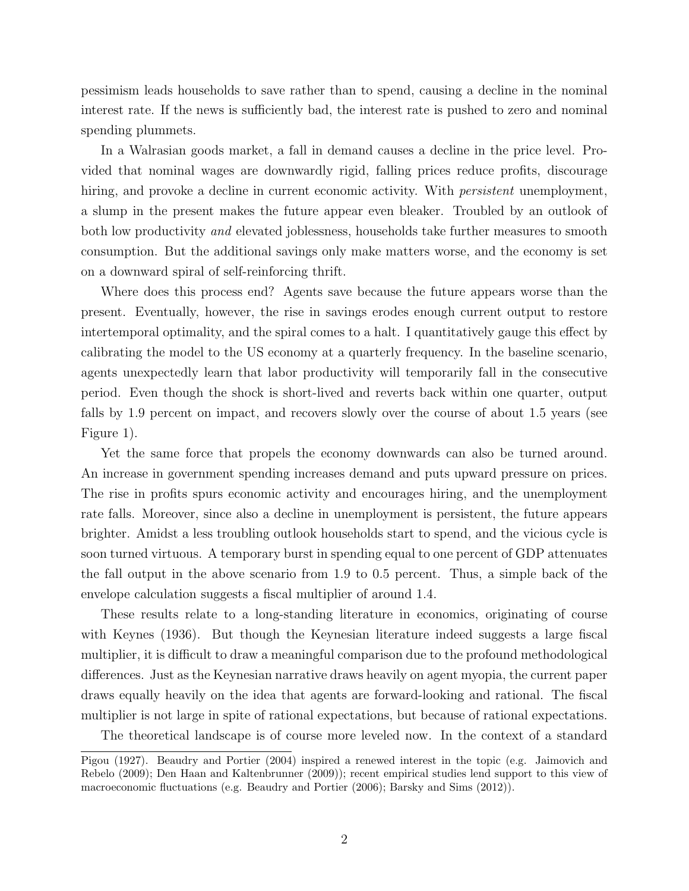pessimism leads households to save rather than to spend, causing a decline in the nominal interest rate. If the news is sufficiently bad, the interest rate is pushed to zero and nominal spending plummets.

In a Walrasian goods market, a fall in demand causes a decline in the price level. Provided that nominal wages are downwardly rigid, falling prices reduce profits, discourage hiring, and provoke a decline in current economic activity. With *persistent* unemployment, a slump in the present makes the future appear even bleaker. Troubled by an outlook of both low productivity and elevated joblessness, households take further measures to smooth consumption. But the additional savings only make matters worse, and the economy is set on a downward spiral of self-reinforcing thrift.

Where does this process end? Agents save because the future appears worse than the present. Eventually, however, the rise in savings erodes enough current output to restore intertemporal optimality, and the spiral comes to a halt. I quantitatively gauge this effect by calibrating the model to the US economy at a quarterly frequency. In the baseline scenario, agents unexpectedly learn that labor productivity will temporarily fall in the consecutive period. Even though the shock is short-lived and reverts back within one quarter, output falls by 1.9 percent on impact, and recovers slowly over the course of about 1.5 years (see Figure 1).

Yet the same force that propels the economy downwards can also be turned around. An increase in government spending increases demand and puts upward pressure on prices. The rise in profits spurs economic activity and encourages hiring, and the unemployment rate falls. Moreover, since also a decline in unemployment is persistent, the future appears brighter. Amidst a less troubling outlook households start to spend, and the vicious cycle is soon turned virtuous. A temporary burst in spending equal to one percent of GDP attenuates the fall output in the above scenario from 1.9 to 0.5 percent. Thus, a simple back of the envelope calculation suggests a fiscal multiplier of around 1.4.

These results relate to a long-standing literature in economics, originating of course with Keynes (1936). But though the Keynesian literature indeed suggests a large fiscal multiplier, it is difficult to draw a meaningful comparison due to the profound methodological differences. Just as the Keynesian narrative draws heavily on agent myopia, the current paper draws equally heavily on the idea that agents are forward-looking and rational. The fiscal multiplier is not large in spite of rational expectations, but because of rational expectations.

The theoretical landscape is of course more leveled now. In the context of a standard

Pigou (1927). Beaudry and Portier (2004) inspired a renewed interest in the topic (e.g. Jaimovich and Rebelo (2009); Den Haan and Kaltenbrunner (2009)); recent empirical studies lend support to this view of macroeconomic fluctuations (e.g. Beaudry and Portier (2006); Barsky and Sims (2012)).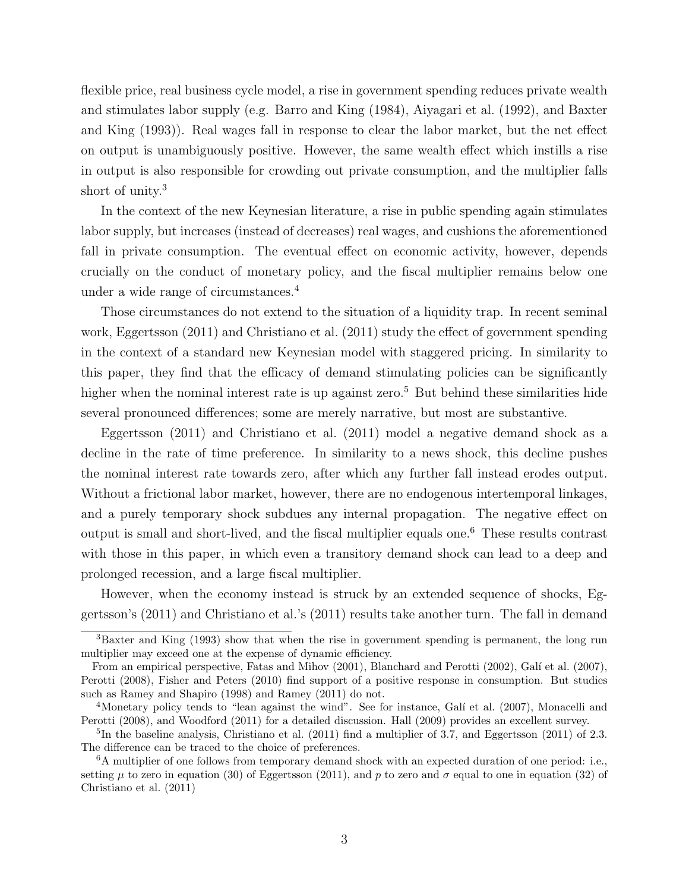flexible price, real business cycle model, a rise in government spending reduces private wealth and stimulates labor supply (e.g. Barro and King (1984), Aiyagari et al. (1992), and Baxter and King (1993)). Real wages fall in response to clear the labor market, but the net effect on output is unambiguously positive. However, the same wealth effect which instills a rise in output is also responsible for crowding out private consumption, and the multiplier falls short of unity.<sup>3</sup>

In the context of the new Keynesian literature, a rise in public spending again stimulates labor supply, but increases (instead of decreases) real wages, and cushions the aforementioned fall in private consumption. The eventual effect on economic activity, however, depends crucially on the conduct of monetary policy, and the fiscal multiplier remains below one under a wide range of circumstances.<sup>4</sup>

Those circumstances do not extend to the situation of a liquidity trap. In recent seminal work, Eggertsson (2011) and Christiano et al. (2011) study the effect of government spending in the context of a standard new Keynesian model with staggered pricing. In similarity to this paper, they find that the efficacy of demand stimulating policies can be significantly higher when the nominal interest rate is up against zero.<sup>5</sup> But behind these similarities hide several pronounced differences; some are merely narrative, but most are substantive.

Eggertsson (2011) and Christiano et al. (2011) model a negative demand shock as a decline in the rate of time preference. In similarity to a news shock, this decline pushes the nominal interest rate towards zero, after which any further fall instead erodes output. Without a frictional labor market, however, there are no endogenous intertemporal linkages, and a purely temporary shock subdues any internal propagation. The negative effect on output is small and short-lived, and the fiscal multiplier equals one.<sup>6</sup> These results contrast with those in this paper, in which even a transitory demand shock can lead to a deep and prolonged recession, and a large fiscal multiplier.

However, when the economy instead is struck by an extended sequence of shocks, Eggertsson's (2011) and Christiano et al.'s (2011) results take another turn. The fall in demand

<sup>3</sup>Baxter and King (1993) show that when the rise in government spending is permanent, the long run multiplier may exceed one at the expense of dynamic efficiency.

From an empirical perspective, Fatas and Mihov (2001), Blanchard and Perotti (2002), Galí et al. (2007), Perotti (2008), Fisher and Peters (2010) find support of a positive response in consumption. But studies such as Ramey and Shapiro (1998) and Ramey (2011) do not.

<sup>&</sup>lt;sup>4</sup>Monetary policy tends to "lean against the wind". See for instance, Galí et al. (2007), Monacelli and Perotti (2008), and Woodford (2011) for a detailed discussion. Hall (2009) provides an excellent survey.

<sup>5</sup> In the baseline analysis, Christiano et al. (2011) find a multiplier of 3.7, and Eggertsson (2011) of 2.3. The difference can be traced to the choice of preferences.

<sup>6</sup>A multiplier of one follows from temporary demand shock with an expected duration of one period: i.e., setting  $\mu$  to zero in equation (30) of Eggertsson (2011), and p to zero and  $\sigma$  equal to one in equation (32) of Christiano et al. (2011)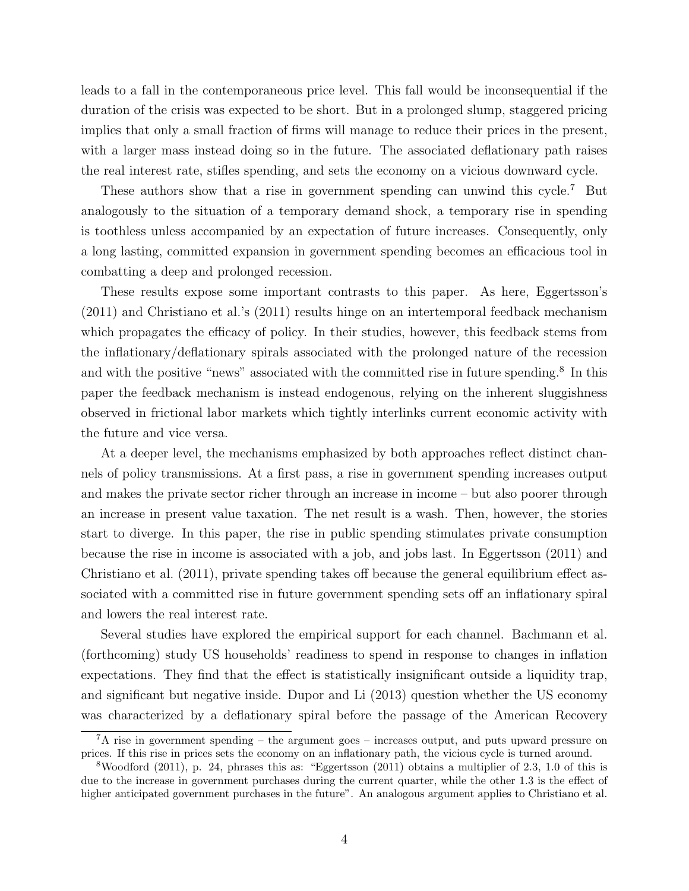leads to a fall in the contemporaneous price level. This fall would be inconsequential if the duration of the crisis was expected to be short. But in a prolonged slump, staggered pricing implies that only a small fraction of firms will manage to reduce their prices in the present, with a larger mass instead doing so in the future. The associated deflationary path raises the real interest rate, stifles spending, and sets the economy on a vicious downward cycle.

These authors show that a rise in government spending can unwind this cycle.<sup>7</sup> But analogously to the situation of a temporary demand shock, a temporary rise in spending is toothless unless accompanied by an expectation of future increases. Consequently, only a long lasting, committed expansion in government spending becomes an efficacious tool in combatting a deep and prolonged recession.

These results expose some important contrasts to this paper. As here, Eggertsson's (2011) and Christiano et al.'s (2011) results hinge on an intertemporal feedback mechanism which propagates the efficacy of policy. In their studies, however, this feedback stems from the inflationary/deflationary spirals associated with the prolonged nature of the recession and with the positive "news" associated with the committed rise in future spending.<sup>8</sup> In this paper the feedback mechanism is instead endogenous, relying on the inherent sluggishness observed in frictional labor markets which tightly interlinks current economic activity with the future and vice versa.

At a deeper level, the mechanisms emphasized by both approaches reflect distinct channels of policy transmissions. At a first pass, a rise in government spending increases output and makes the private sector richer through an increase in income – but also poorer through an increase in present value taxation. The net result is a wash. Then, however, the stories start to diverge. In this paper, the rise in public spending stimulates private consumption because the rise in income is associated with a job, and jobs last. In Eggertsson (2011) and Christiano et al. (2011), private spending takes off because the general equilibrium effect associated with a committed rise in future government spending sets off an inflationary spiral and lowers the real interest rate.

Several studies have explored the empirical support for each channel. Bachmann et al. (forthcoming) study US households' readiness to spend in response to changes in inflation expectations. They find that the effect is statistically insignificant outside a liquidity trap, and significant but negative inside. Dupor and Li (2013) question whether the US economy was characterized by a deflationary spiral before the passage of the American Recovery

 ${}^{7}$ A rise in government spending – the argument goes – increases output, and puts upward pressure on prices. If this rise in prices sets the economy on an inflationary path, the vicious cycle is turned around.

<sup>8</sup>Woodford (2011), p. 24, phrases this as: "Eggertsson (2011) obtains a multiplier of 2.3, 1.0 of this is due to the increase in government purchases during the current quarter, while the other 1.3 is the effect of higher anticipated government purchases in the future". An analogous argument applies to Christiano et al.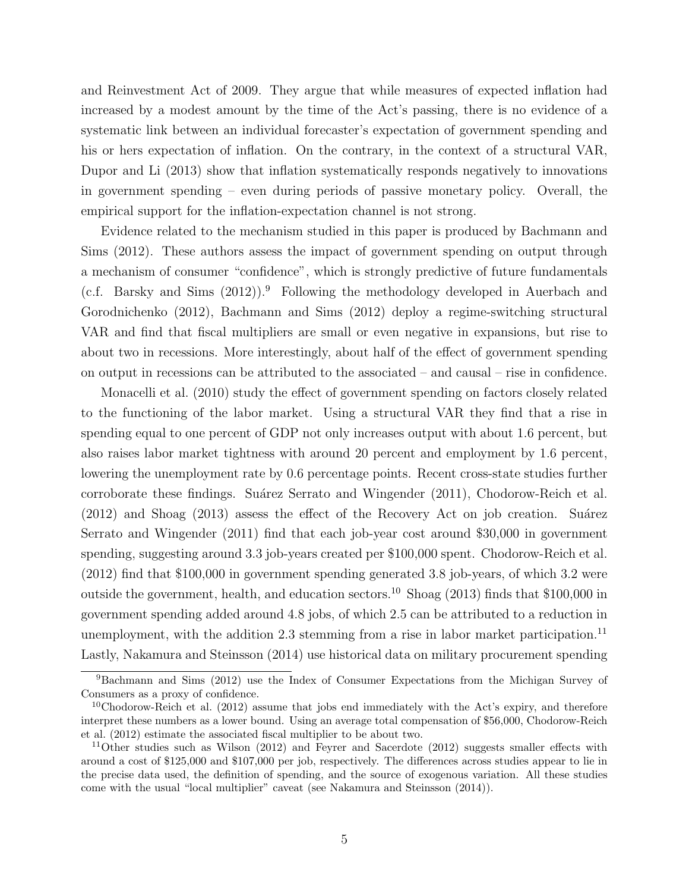and Reinvestment Act of 2009. They argue that while measures of expected inflation had increased by a modest amount by the time of the Act's passing, there is no evidence of a systematic link between an individual forecaster's expectation of government spending and his or hers expectation of inflation. On the contrary, in the context of a structural VAR, Dupor and Li (2013) show that inflation systematically responds negatively to innovations in government spending – even during periods of passive monetary policy. Overall, the empirical support for the inflation-expectation channel is not strong.

Evidence related to the mechanism studied in this paper is produced by Bachmann and Sims (2012). These authors assess the impact of government spending on output through a mechanism of consumer "confidence", which is strongly predictive of future fundamentals (c.f. Barsky and Sims  $(2012)$ ).<sup>9</sup> Following the methodology developed in Auerbach and Gorodnichenko (2012), Bachmann and Sims (2012) deploy a regime-switching structural VAR and find that fiscal multipliers are small or even negative in expansions, but rise to about two in recessions. More interestingly, about half of the effect of government spending on output in recessions can be attributed to the associated – and causal – rise in confidence.

Monacelli et al. (2010) study the effect of government spending on factors closely related to the functioning of the labor market. Using a structural VAR they find that a rise in spending equal to one percent of GDP not only increases output with about 1.6 percent, but also raises labor market tightness with around 20 percent and employment by 1.6 percent, lowering the unemployment rate by 0.6 percentage points. Recent cross-state studies further corroborate these findings. Suárez Serrato and Wingender (2011), Chodorow-Reich et al.  $(2012)$  and Shoag  $(2013)$  assess the effect of the Recovery Act on job creation. Suárez Serrato and Wingender (2011) find that each job-year cost around \$30,000 in government spending, suggesting around 3.3 job-years created per \$100,000 spent. Chodorow-Reich et al. (2012) find that \$100,000 in government spending generated 3.8 job-years, of which 3.2 were outside the government, health, and education sectors.<sup>10</sup> Shoag (2013) finds that  $$100,000$  in government spending added around 4.8 jobs, of which 2.5 can be attributed to a reduction in unemployment, with the addition 2.3 stemming from a rise in labor market participation.<sup>11</sup> Lastly, Nakamura and Steinsson (2014) use historical data on military procurement spending

<sup>9</sup>Bachmann and Sims (2012) use the Index of Consumer Expectations from the Michigan Survey of Consumers as a proxy of confidence.

 $10C$ hodorow-Reich et al. (2012) assume that jobs end immediately with the Act's expiry, and therefore interpret these numbers as a lower bound. Using an average total compensation of \$56,000, Chodorow-Reich et al. (2012) estimate the associated fiscal multiplier to be about two.

 $11$ Other studies such as Wilson (2012) and Feyrer and Sacerdote (2012) suggests smaller effects with around a cost of \$125,000 and \$107,000 per job, respectively. The differences across studies appear to lie in the precise data used, the definition of spending, and the source of exogenous variation. All these studies come with the usual "local multiplier" caveat (see Nakamura and Steinsson (2014)).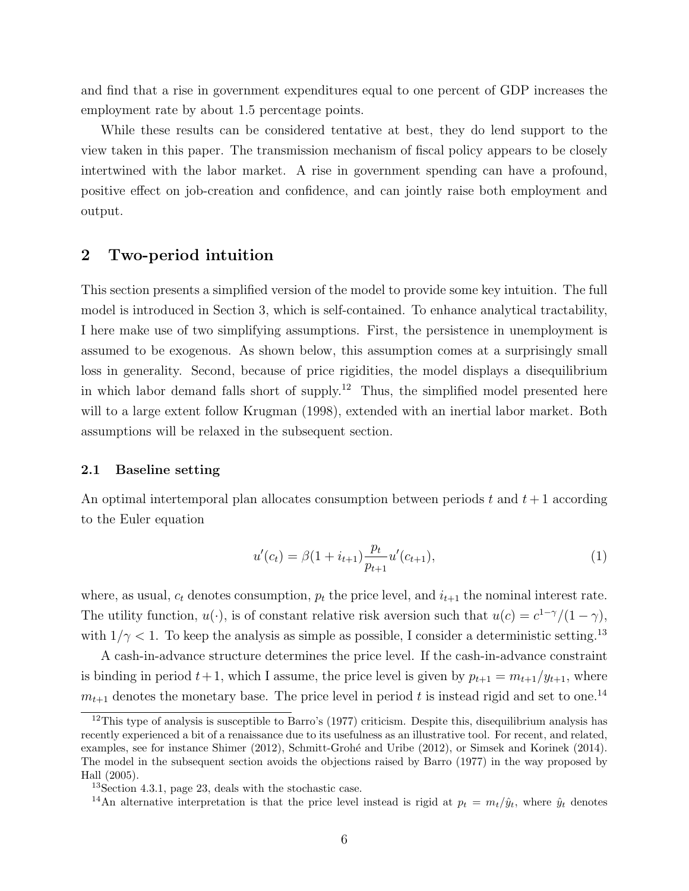and find that a rise in government expenditures equal to one percent of GDP increases the employment rate by about 1.5 percentage points.

While these results can be considered tentative at best, they do lend support to the view taken in this paper. The transmission mechanism of fiscal policy appears to be closely intertwined with the labor market. A rise in government spending can have a profound, positive effect on job-creation and confidence, and can jointly raise both employment and output.

# 2 Two-period intuition

This section presents a simplified version of the model to provide some key intuition. The full model is introduced in Section 3, which is self-contained. To enhance analytical tractability, I here make use of two simplifying assumptions. First, the persistence in unemployment is assumed to be exogenous. As shown below, this assumption comes at a surprisingly small loss in generality. Second, because of price rigidities, the model displays a disequilibrium in which labor demand falls short of supply.<sup>12</sup> Thus, the simplified model presented here will to a large extent follow Krugman (1998), extended with an inertial labor market. Both assumptions will be relaxed in the subsequent section.

#### 2.1 Baseline setting

An optimal intertemporal plan allocates consumption between periods t and  $t + 1$  according to the Euler equation

$$
u'(c_t) = \beta(1 + i_{t+1}) \frac{p_t}{p_{t+1}} u'(c_{t+1}),
$$
\n(1)

where, as usual,  $c_t$  denotes consumption,  $p_t$  the price level, and  $i_{t+1}$  the nominal interest rate. The utility function,  $u(\cdot)$ , is of constant relative risk aversion such that  $u(c) = c^{1-\gamma}/(1-\gamma)$ , with  $1/\gamma < 1$ . To keep the analysis as simple as possible, I consider a deterministic setting.<sup>13</sup>

A cash-in-advance structure determines the price level. If the cash-in-advance constraint is binding in period  $t + 1$ , which I assume, the price level is given by  $p_{t+1} = m_{t+1}/y_{t+1}$ , where  $m_{t+1}$  denotes the monetary base. The price level in period t is instead rigid and set to one.<sup>14</sup>

<sup>&</sup>lt;sup>12</sup>This type of analysis is susceptible to Barro's (1977) criticism. Despite this, disequilibrium analysis has recently experienced a bit of a renaissance due to its usefulness as an illustrative tool. For recent, and related, examples, see for instance Shimer (2012), Schmitt-Grohé and Uribe (2012), or Simsek and Korinek (2014). The model in the subsequent section avoids the objections raised by Barro (1977) in the way proposed by Hall (2005).

<sup>13</sup>Section 4.3.1, page 23, deals with the stochastic case.

<sup>&</sup>lt;sup>14</sup>An alternative interpretation is that the price level instead is rigid at  $p_t = m_t/\hat{y}_t$ , where  $\hat{y}_t$  denotes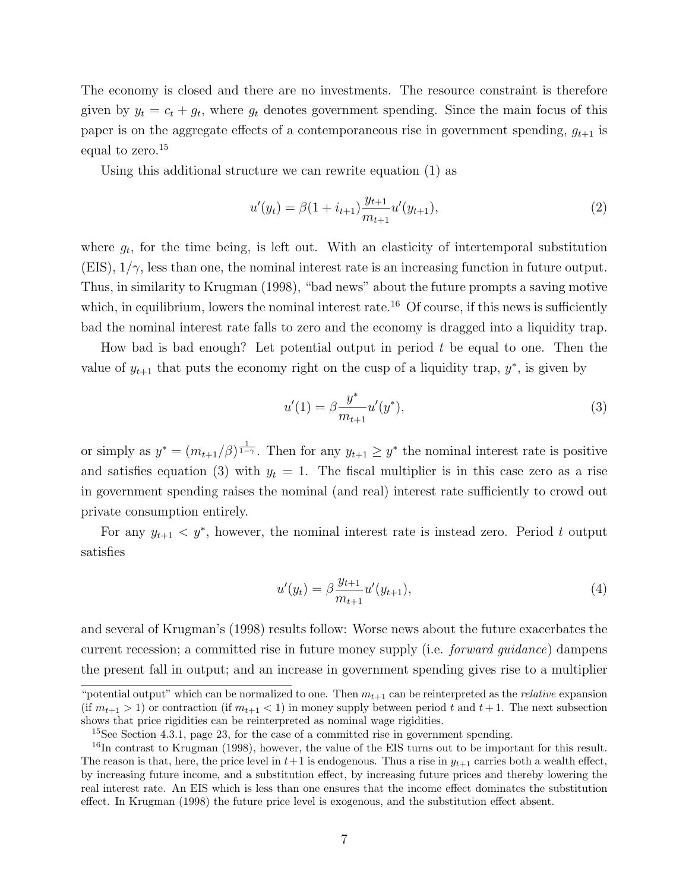The economy is closed and there are no investments. The resource constraint is therefore given by  $y_t = c_t + g_t$ , where  $g_t$  denotes government spending. Since the main focus of this paper is on the aggregate effects of a contemporaneous rise in government spending,  $g_{t+1}$  is equal to zero.<sup>15</sup>

Using this additional structure we can rewrite equation (1) as

$$
u'(y_t) = \beta(1 + i_{t+1}) \frac{y_{t+1}}{m_{t+1}} u'(y_{t+1}),
$$
\n(2)

where  $g_t$ , for the time being, is left out. With an elasticity of intertemporal substitution  $(EIS), 1/\gamma$ , less than one, the nominal interest rate is an increasing function in future output. Thus, in similarity to Krugman (1998), "bad news" about the future prompts a saving motive which, in equilibrium, lowers the nominal interest rate.<sup>16</sup> Of course, if this news is sufficiently bad the nominal interest rate falls to zero and the economy is dragged into a liquidity trap.

How bad is bad enough? Let potential output in period  $t$  be equal to one. Then the value of  $y_{t+1}$  that puts the economy right on the cusp of a liquidity trap,  $y^*$ , is given by

$$
u'(1) = \beta \frac{y^*}{m_{t+1}} u'(y^*),\tag{3}
$$

or simply as  $y^* = (m_{t+1}/\beta)^{\frac{1}{1-\gamma}}$ . Then for any  $y_{t+1} \geq y^*$  the nominal interest rate is positive and satisfies equation (3) with  $y_t = 1$ . The fiscal multiplier is in this case zero as a rise in government spending raises the nominal (and real) interest rate sufficiently to crowd out private consumption entirely.

For any  $y_{t+1} < y^*$ , however, the nominal interest rate is instead zero. Period t output satisfies

$$
u'(y_t) = \beta \frac{y_{t+1}}{m_{t+1}} u'(y_{t+1}),
$$
\n(4)

and several of Krugman's (1998) results follow: Worse news about the future exacerbates the current recession; a committed rise in future money supply (i.e. *forward quidance*) dampens the present fall in output; and an increase in government spending gives rise to a multiplier

<sup>&</sup>quot;potential output" which can be normalized to one. Then  $m_{t+1}$  can be reinterpreted as the *relative* expansion (if  $m_{t+1} > 1$ ) or contraction (if  $m_{t+1} < 1$ ) in money supply between period t and  $t+1$ . The next subsection shows that price rigidities can be reinterpreted as nominal wage rigidities.

<sup>&</sup>lt;sup>15</sup>See Section 4.3.1, page 23, for the case of a committed rise in government spending.

<sup>&</sup>lt;sup>16</sup>In contrast to Krugman (1998), however, the value of the EIS turns out to be important for this result. The reason is that, here, the price level in  $t+1$  is endogenous. Thus a rise in  $y_{t+1}$  carries both a wealth effect, by increasing future income, and a substitution effect, by increasing future prices and thereby lowering the real interest rate. An EIS which is less than one ensures that the income effect dominates the substitution effect. In Krugman (1998) the future price level is exogenous, and the substitution effect absent.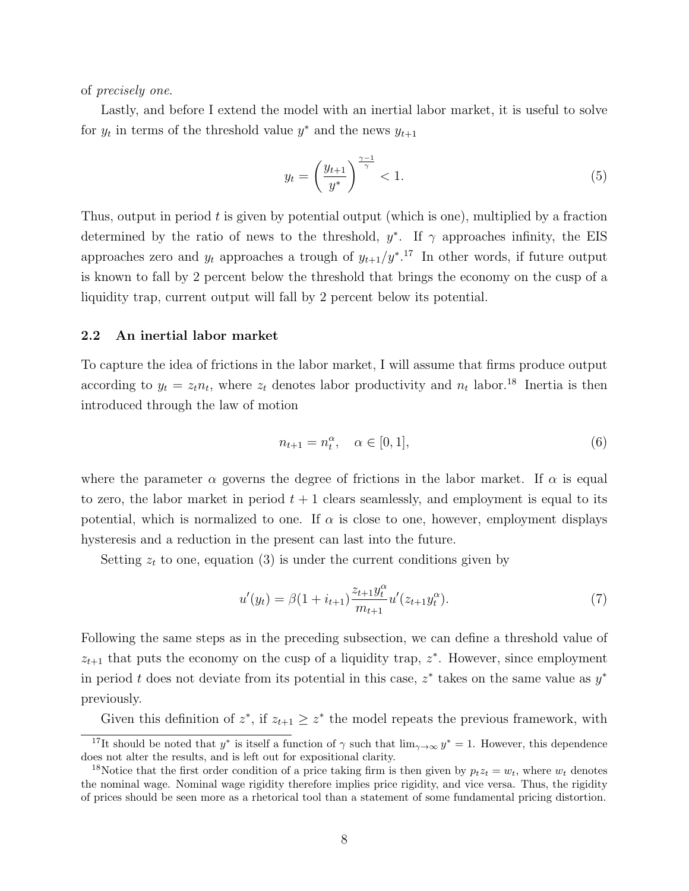of precisely one.

Lastly, and before I extend the model with an inertial labor market, it is useful to solve for  $y_t$  in terms of the threshold value  $y^*$  and the news  $y_{t+1}$ 

$$
y_t = \left(\frac{y_{t+1}}{y^*}\right)^{\frac{\gamma - 1}{\gamma}} < 1. \tag{5}
$$

Thus, output in period  $t$  is given by potential output (which is one), multiplied by a fraction determined by the ratio of news to the threshold,  $y^*$ . If  $\gamma$  approaches infinity, the EIS approaches zero and  $y_t$  approaches a trough of  $y_{t+1}/y^{*}$ .<sup>17</sup> In other words, if future output is known to fall by 2 percent below the threshold that brings the economy on the cusp of a liquidity trap, current output will fall by 2 percent below its potential.

#### 2.2 An inertial labor market

To capture the idea of frictions in the labor market, I will assume that firms produce output according to  $y_t = z_t n_t$ , where  $z_t$  denotes labor productivity and  $n_t$  labor.<sup>18</sup> Inertia is then introduced through the law of motion

$$
n_{t+1} = n_t^{\alpha}, \quad \alpha \in [0, 1], \tag{6}
$$

where the parameter  $\alpha$  governs the degree of frictions in the labor market. If  $\alpha$  is equal to zero, the labor market in period  $t + 1$  clears seamlessly, and employment is equal to its potential, which is normalized to one. If  $\alpha$  is close to one, however, employment displays hysteresis and a reduction in the present can last into the future.

Setting  $z_t$  to one, equation (3) is under the current conditions given by

$$
u'(y_t) = \beta (1 + i_{t+1}) \frac{z_{t+1} y_t^{\alpha}}{m_{t+1}} u'(z_{t+1} y_t^{\alpha}).
$$
\n(7)

Following the same steps as in the preceding subsection, we can define a threshold value of  $z_{t+1}$  that puts the economy on the cusp of a liquidity trap,  $z^*$ . However, since employment in period t does not deviate from its potential in this case,  $z^*$  takes on the same value as  $y^*$ previously.

Given this definition of  $z^*$ , if  $z_{t+1} \geq z^*$  the model repeats the previous framework, with

<sup>&</sup>lt;sup>17</sup>It should be noted that y<sup>\*</sup> is itself a function of  $\gamma$  such that  $\lim_{\gamma\to\infty} y^* = 1$ . However, this dependence does not alter the results, and is left out for expositional clarity.

<sup>&</sup>lt;sup>18</sup>Notice that the first order condition of a price taking firm is then given by  $p_t z_t = w_t$ , where  $w_t$  denotes the nominal wage. Nominal wage rigidity therefore implies price rigidity, and vice versa. Thus, the rigidity of prices should be seen more as a rhetorical tool than a statement of some fundamental pricing distortion.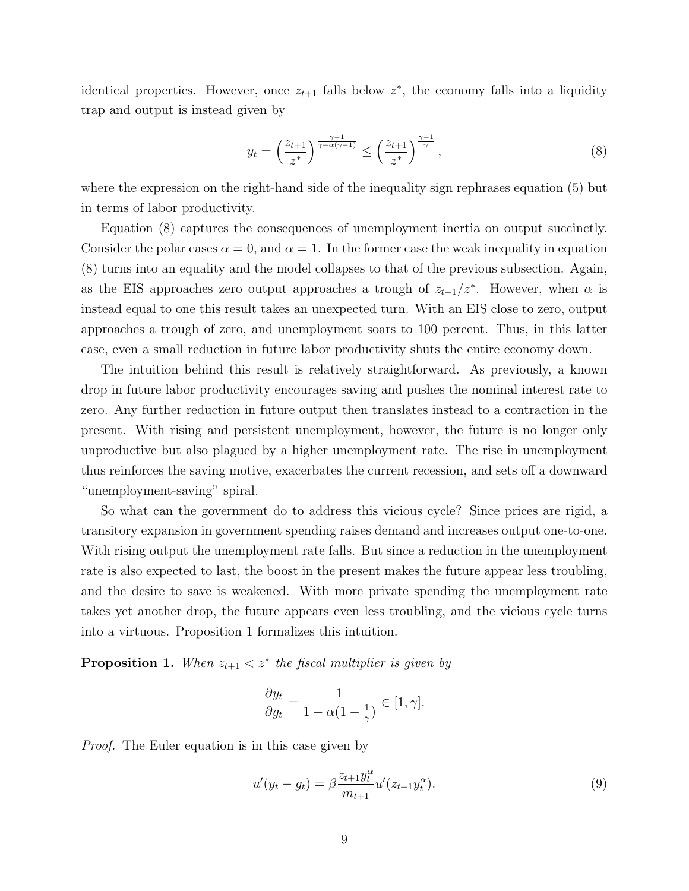identical properties. However, once  $z_{t+1}$  falls below  $z^*$ , the economy falls into a liquidity trap and output is instead given by

$$
y_t = \left(\frac{z_{t+1}}{z^*}\right)^{\frac{\gamma - 1}{\gamma - \alpha(\gamma - 1)}} \le \left(\frac{z_{t+1}}{z^*}\right)^{\frac{\gamma - 1}{\gamma}},\tag{8}
$$

where the expression on the right-hand side of the inequality sign rephrases equation (5) but in terms of labor productivity.

Equation (8) captures the consequences of unemployment inertia on output succinctly. Consider the polar cases  $\alpha = 0$ , and  $\alpha = 1$ . In the former case the weak inequality in equation (8) turns into an equality and the model collapses to that of the previous subsection. Again, as the EIS approaches zero output approaches a trough of  $z_{t+1}/z^*$ . However, when  $\alpha$  is instead equal to one this result takes an unexpected turn. With an EIS close to zero, output approaches a trough of zero, and unemployment soars to 100 percent. Thus, in this latter case, even a small reduction in future labor productivity shuts the entire economy down.

The intuition behind this result is relatively straightforward. As previously, a known drop in future labor productivity encourages saving and pushes the nominal interest rate to zero. Any further reduction in future output then translates instead to a contraction in the present. With rising and persistent unemployment, however, the future is no longer only unproductive but also plagued by a higher unemployment rate. The rise in unemployment thus reinforces the saving motive, exacerbates the current recession, and sets off a downward "unemployment-saving" spiral.

So what can the government do to address this vicious cycle? Since prices are rigid, a transitory expansion in government spending raises demand and increases output one-to-one. With rising output the unemployment rate falls. But since a reduction in the unemployment rate is also expected to last, the boost in the present makes the future appear less troubling, and the desire to save is weakened. With more private spending the unemployment rate takes yet another drop, the future appears even less troubling, and the vicious cycle turns into a virtuous. Proposition 1 formalizes this intuition.

**Proposition 1.** When  $z_{t+1} < z^*$  the fiscal multiplier is given by

$$
\frac{\partial y_t}{\partial g_t} = \frac{1}{1 - \alpha \left(1 - \frac{1}{\gamma}\right)} \in [1, \gamma].
$$

*Proof.* The Euler equation is in this case given by

$$
u'(y_t - g_t) = \beta \frac{z_{t+1} y_t^{\alpha}}{m_{t+1}} u'(z_{t+1} y_t^{\alpha}).
$$
\n(9)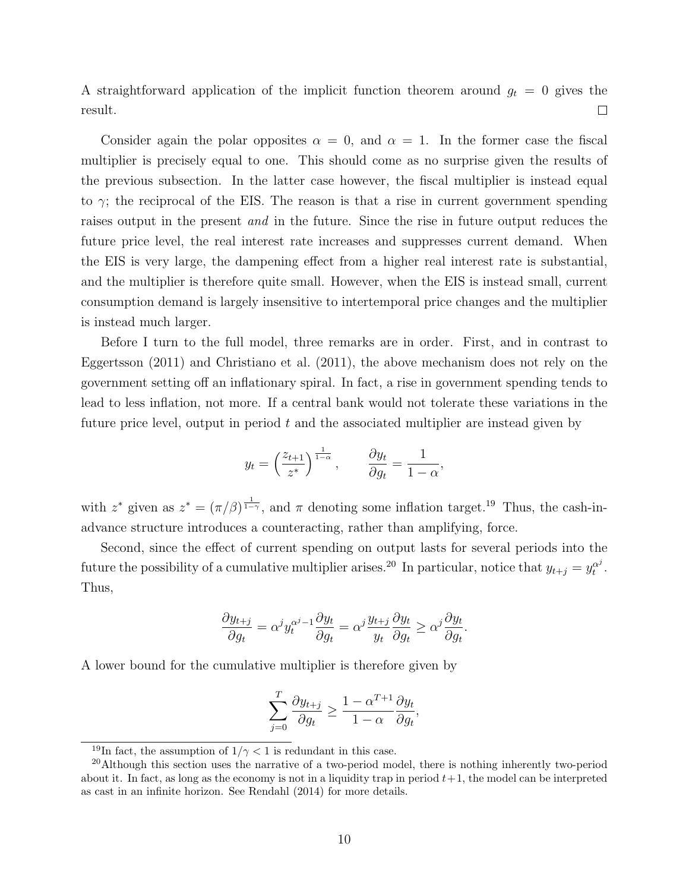A straightforward application of the implicit function theorem around  $g_t = 0$  gives the result.  $\Box$ 

Consider again the polar opposites  $\alpha = 0$ , and  $\alpha = 1$ . In the former case the fiscal multiplier is precisely equal to one. This should come as no surprise given the results of the previous subsection. In the latter case however, the fiscal multiplier is instead equal to  $\gamma$ ; the reciprocal of the EIS. The reason is that a rise in current government spending raises output in the present and in the future. Since the rise in future output reduces the future price level, the real interest rate increases and suppresses current demand. When the EIS is very large, the dampening effect from a higher real interest rate is substantial, and the multiplier is therefore quite small. However, when the EIS is instead small, current consumption demand is largely insensitive to intertemporal price changes and the multiplier is instead much larger.

Before I turn to the full model, three remarks are in order. First, and in contrast to Eggertsson (2011) and Christiano et al. (2011), the above mechanism does not rely on the government setting off an inflationary spiral. In fact, a rise in government spending tends to lead to less inflation, not more. If a central bank would not tolerate these variations in the future price level, output in period  $t$  and the associated multiplier are instead given by

$$
y_t = \left(\frac{z_{t+1}}{z^*}\right)^{\frac{1}{1-\alpha}}, \qquad \frac{\partial y_t}{\partial g_t} = \frac{1}{1-\alpha},
$$

with  $z^*$  given as  $z^* = (\pi/\beta)^{\frac{1}{1-\gamma}}$ , and  $\pi$  denoting some inflation target.<sup>19</sup> Thus, the cash-inadvance structure introduces a counteracting, rather than amplifying, force.

Second, since the effect of current spending on output lasts for several periods into the future the possibility of a cumulative multiplier arises.<sup>20</sup> In particular, notice that  $y_{t+j} = y_t^{\alpha^j}$  $\overset{\alpha^{\jmath}}{t}$  . Thus,

$$
\frac{\partial y_{t+j}}{\partial g_t} = \alpha^j y_t^{\alpha^j - 1} \frac{\partial y_t}{\partial g_t} = \alpha^j \frac{y_{t+j}}{y_t} \frac{\partial y_t}{\partial g_t} \ge \alpha^j \frac{\partial y_t}{\partial g_t}.
$$

A lower bound for the cumulative multiplier is therefore given by

$$
\sum_{j=0}^T \frac{\partial y_{t+j}}{\partial g_t} \ge \frac{1 - \alpha^{T+1}}{1 - \alpha} \frac{\partial y_t}{\partial g_t},
$$

<sup>&</sup>lt;sup>19</sup>In fact, the assumption of  $1/\gamma < 1$  is redundant in this case.

<sup>&</sup>lt;sup>20</sup>Although this section uses the narrative of a two-period model, there is nothing inherently two-period about it. In fact, as long as the economy is not in a liquidity trap in period  $t+1$ , the model can be interpreted as cast in an infinite horizon. See Rendahl (2014) for more details.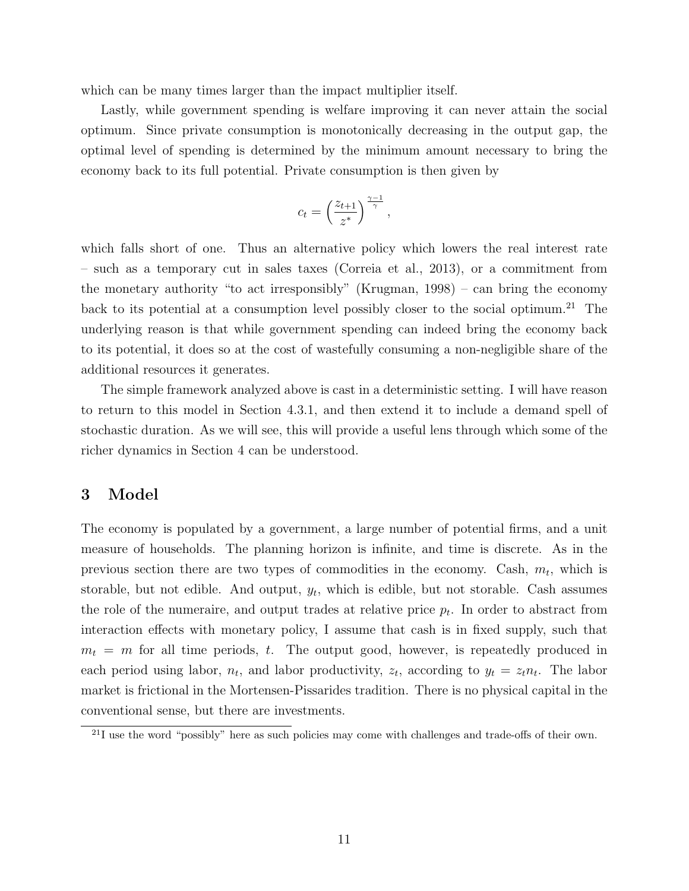which can be many times larger than the impact multiplier itself.

Lastly, while government spending is welfare improving it can never attain the social optimum. Since private consumption is monotonically decreasing in the output gap, the optimal level of spending is determined by the minimum amount necessary to bring the economy back to its full potential. Private consumption is then given by

$$
c_t = \left(\frac{z_{t+1}}{z^*}\right)^{\frac{\gamma-1}{\gamma}},
$$

which falls short of one. Thus an alternative policy which lowers the real interest rate – such as a temporary cut in sales taxes (Correia et al., 2013), or a commitment from the monetary authority "to act irresponsibly" (Krugman, 1998) – can bring the economy back to its potential at a consumption level possibly closer to the social optimum.<sup>21</sup> The underlying reason is that while government spending can indeed bring the economy back to its potential, it does so at the cost of wastefully consuming a non-negligible share of the additional resources it generates.

The simple framework analyzed above is cast in a deterministic setting. I will have reason to return to this model in Section 4.3.1, and then extend it to include a demand spell of stochastic duration. As we will see, this will provide a useful lens through which some of the richer dynamics in Section 4 can be understood.

# 3 Model

The economy is populated by a government, a large number of potential firms, and a unit measure of households. The planning horizon is infinite, and time is discrete. As in the previous section there are two types of commodities in the economy. Cash,  $m_t$ , which is storable, but not edible. And output,  $y_t$ , which is edible, but not storable. Cash assumes the role of the numeraire, and output trades at relative price  $p_t$ . In order to abstract from interaction effects with monetary policy, I assume that cash is in fixed supply, such that  $m_t = m$  for all time periods, t. The output good, however, is repeatedly produced in each period using labor,  $n_t$ , and labor productivity,  $z_t$ , according to  $y_t = z_t n_t$ . The labor market is frictional in the Mortensen-Pissarides tradition. There is no physical capital in the conventional sense, but there are investments.

 $^{21}$ I use the word "possibly" here as such policies may come with challenges and trade-offs of their own.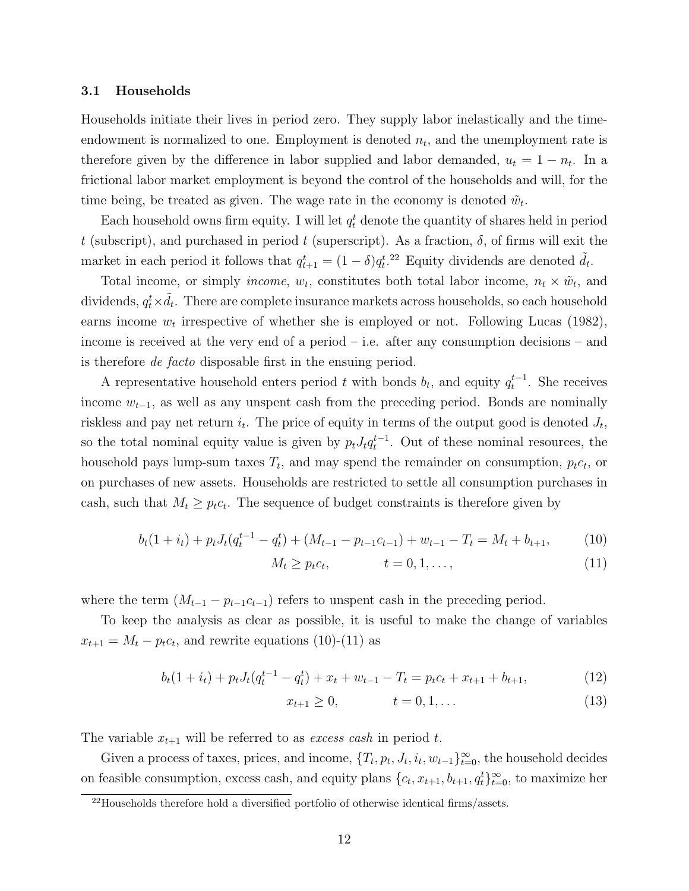#### 3.1 Households

Households initiate their lives in period zero. They supply labor inelastically and the timeendowment is normalized to one. Employment is denoted  $n_t$ , and the unemployment rate is therefore given by the difference in labor supplied and labor demanded,  $u_t = 1 - n_t$ . In a frictional labor market employment is beyond the control of the households and will, for the time being, be treated as given. The wage rate in the economy is denoted  $\tilde{w}_t$ .

Each household owns firm equity. I will let  $q_t^t$  denote the quantity of shares held in period t (subscript), and purchased in period t (superscript). As a fraction,  $\delta$ , of firms will exit the market in each period it follows that  $q_{t+1}^t = (1 - \delta)q_t^{t}$ .<sup>22</sup> Equity dividends are denoted  $\tilde{d}_t$ .

Total income, or simply *income*,  $w_t$ , constitutes both total labor income,  $n_t \times \tilde{w}_t$ , and dividends,  $q_t^t \times \tilde{d_t}$ . There are complete insurance markets across households, so each household earns income  $w_t$  irrespective of whether she is employed or not. Following Lucas (1982), income is received at the very end of a period – i.e. after any consumption decisions – and is therefore de facto disposable first in the ensuing period.

A representative household enters period t with bonds  $b_t$ , and equity  $q_t^{t-1}$ . She receives income  $w_{t-1}$ , as well as any unspent cash from the preceding period. Bonds are nominally riskless and pay net return  $i_t$ . The price of equity in terms of the output good is denoted  $J_t$ , so the total nominal equity value is given by  $p_t J_t q_t^{t-1}$ . Out of these nominal resources, the household pays lump-sum taxes  $T_t$ , and may spend the remainder on consumption,  $p_t c_t$ , or on purchases of new assets. Households are restricted to settle all consumption purchases in cash, such that  $M_t \geq p_t c_t$ . The sequence of budget constraints is therefore given by

$$
b_t(1+i_t) + p_t J_t(q_t^{t-1} - q_t^t) + (M_{t-1} - p_{t-1}c_{t-1}) + w_{t-1} - T_t = M_t + b_{t+1},
$$
(10)

$$
M_t \ge p_t c_t, \qquad t = 0, 1, \dots,
$$
\n<sup>(11)</sup>

where the term  $(M_{t-1} - p_{t-1}c_{t-1})$  refers to unspent cash in the preceding period.

To keep the analysis as clear as possible, it is useful to make the change of variables  $x_{t+1} = M_t - p_t c_t$ , and rewrite equations (10)-(11) as

$$
b_t(1+i_t) + p_t J_t(q_t^{t-1} - q_t^t) + x_t + w_{t-1} - T_t = p_t c_t + x_{t+1} + b_{t+1},
$$
\n(12)

$$
x_{t+1} \ge 0, \qquad t = 0, 1, \dots \tag{13}
$$

The variable  $x_{t+1}$  will be referred to as *excess cash* in period t.

Given a process of taxes, prices, and income,  $\{T_t, p_t, J_t, i_t, w_{t-1}\}_{t=0}^{\infty}$ , the household decides on feasible consumption, excess cash, and equity plans  $\{c_t, x_{t+1}, b_{t+1}, q_t^t\}_{t=0}^{\infty}$ , to maximize her

 $22$ Households therefore hold a diversified portfolio of otherwise identical firms/assets.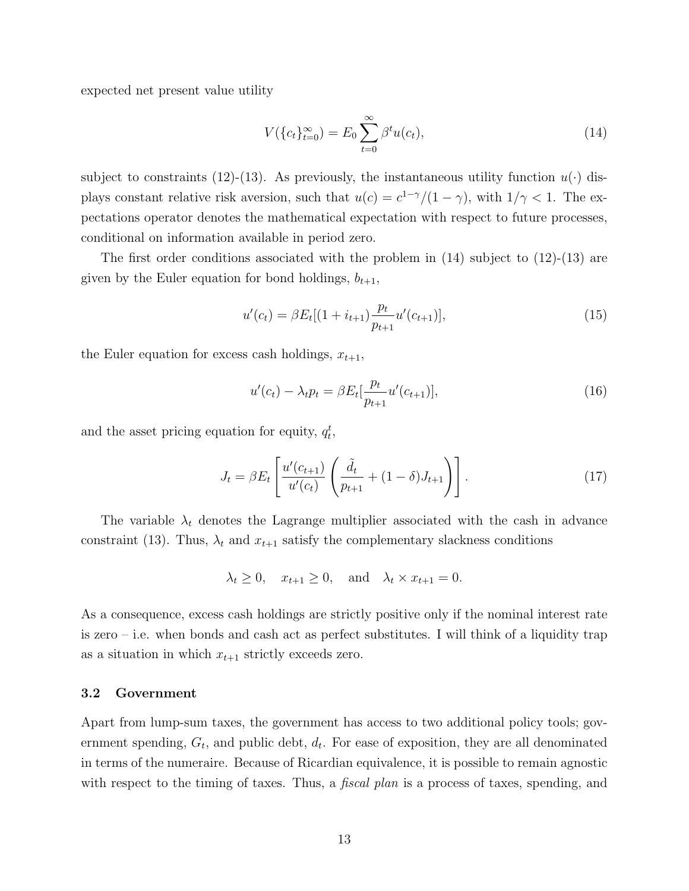expected net present value utility

$$
V(\{c_t\}_{t=0}^{\infty}) = E_0 \sum_{t=0}^{\infty} \beta^t u(c_t), \qquad (14)
$$

subject to constraints (12)-(13). As previously, the instantaneous utility function  $u(\cdot)$  displays constant relative risk aversion, such that  $u(c) = c^{1-\gamma}/(1-\gamma)$ , with  $1/\gamma < 1$ . The expectations operator denotes the mathematical expectation with respect to future processes, conditional on information available in period zero.

The first order conditions associated with the problem in (14) subject to (12)-(13) are given by the Euler equation for bond holdings,  $b_{t+1}$ ,

$$
u'(c_t) = \beta E_t[(1 + i_{t+1})\frac{p_t}{p_{t+1}}u'(c_{t+1})],
$$
\n(15)

the Euler equation for excess cash holdings,  $x_{t+1}$ ,

$$
u'(c_t) - \lambda_t p_t = \beta E_t[\frac{p_t}{p_{t+1}} u'(c_{t+1})],\tag{16}
$$

and the asset pricing equation for equity,  $q_t^t$ ,

$$
J_t = \beta E_t \left[ \frac{u'(c_{t+1})}{u'(c_t)} \left( \frac{\tilde{d}_t}{p_{t+1}} + (1 - \delta) J_{t+1} \right) \right].
$$
 (17)

The variable  $\lambda_t$  denotes the Lagrange multiplier associated with the cash in advance constraint (13). Thus,  $\lambda_t$  and  $x_{t+1}$  satisfy the complementary slackness conditions

 $\lambda_t \geq 0$ ,  $x_{t+1} \geq 0$ , and  $\lambda_t \times x_{t+1} = 0$ .

As a consequence, excess cash holdings are strictly positive only if the nominal interest rate is zero – i.e. when bonds and cash act as perfect substitutes. I will think of a liquidity trap as a situation in which  $x_{t+1}$  strictly exceeds zero.

#### 3.2 Government

Apart from lump-sum taxes, the government has access to two additional policy tools; government spending,  $G_t$ , and public debt,  $d_t$ . For ease of exposition, they are all denominated in terms of the numeraire. Because of Ricardian equivalence, it is possible to remain agnostic with respect to the timing of taxes. Thus, a *fiscal plan* is a process of taxes, spending, and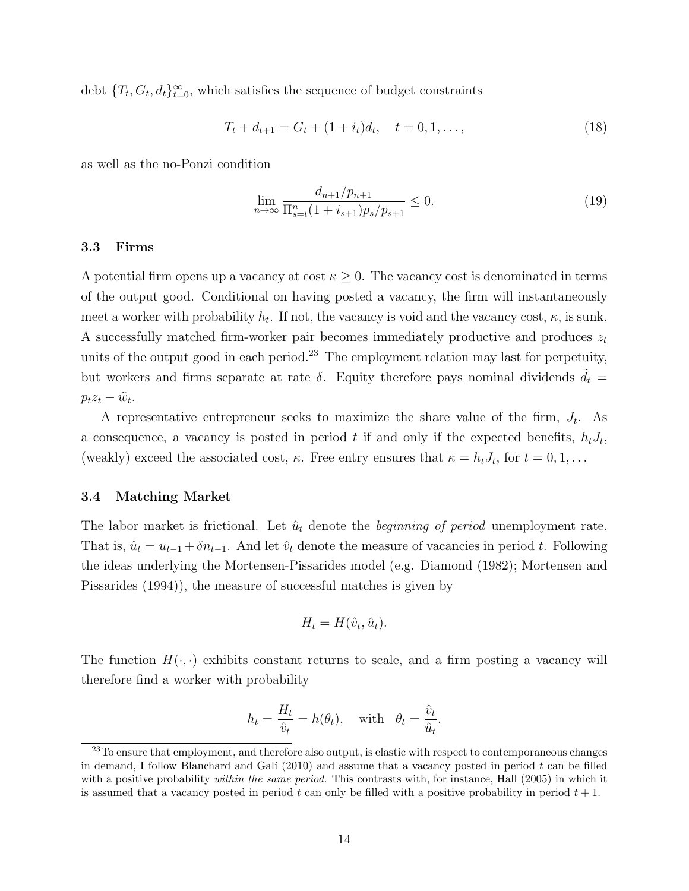debt  $\{T_t, G_t, d_t\}_{t=0}^{\infty}$ , which satisfies the sequence of budget constraints

$$
T_t + d_{t+1} = G_t + (1 + i_t)d_t, \quad t = 0, 1, \dots,
$$
\n(18)

as well as the no-Ponzi condition

$$
\lim_{n \to \infty} \frac{d_{n+1}/p_{n+1}}{\prod_{s=t}^n (1+i_{s+1})p_s/p_{s+1}} \le 0.
$$
\n(19)

#### 3.3 Firms

A potential firm opens up a vacancy at cost  $\kappa \geq 0$ . The vacancy cost is denominated in terms of the output good. Conditional on having posted a vacancy, the firm will instantaneously meet a worker with probability  $h_t$ . If not, the vacancy is void and the vacancy cost,  $\kappa$ , is sunk. A successfully matched firm-worker pair becomes immediately productive and produces  $z_t$ units of the output good in each period.<sup>23</sup> The employment relation may last for perpetuity, but workers and firms separate at rate  $\delta$ . Equity therefore pays nominal dividends  $\tilde{d}_t$  =  $p_t z_t - \tilde{w}_t.$ 

A representative entrepreneur seeks to maximize the share value of the firm,  $J_t$ . As a consequence, a vacancy is posted in period t if and only if the expected benefits,  $h_t J_t$ , (weakly) exceed the associated cost,  $\kappa$ . Free entry ensures that  $\kappa = h_t J_t$ , for  $t = 0, 1, \ldots$ 

#### 3.4 Matching Market

The labor market is frictional. Let  $\hat{u}_t$  denote the *beginning of period* unemployment rate. That is,  $\hat{u}_t = u_{t-1} + \delta n_{t-1}$ . And let  $\hat{v}_t$  denote the measure of vacancies in period t. Following the ideas underlying the Mortensen-Pissarides model (e.g. Diamond (1982); Mortensen and Pissarides (1994)), the measure of successful matches is given by

$$
H_t = H(\hat{v}_t, \hat{u}_t).
$$

The function  $H(\cdot, \cdot)$  exhibits constant returns to scale, and a firm posting a vacancy will therefore find a worker with probability

$$
h_t = \frac{H_t}{\hat{v}_t} = h(\theta_t), \quad \text{with} \quad \theta_t = \frac{\hat{v}_t}{\hat{u}_t}.
$$

<sup>&</sup>lt;sup>23</sup>To ensure that employment, and therefore also output, is elastic with respect to contemporaneous changes in demand, I follow Blanchard and Galí  $(2010)$  and assume that a vacancy posted in period t can be filled with a positive probability *within the same period*. This contrasts with, for instance, Hall (2005) in which it is assumed that a vacancy posted in period t can only be filled with a positive probability in period  $t + 1$ .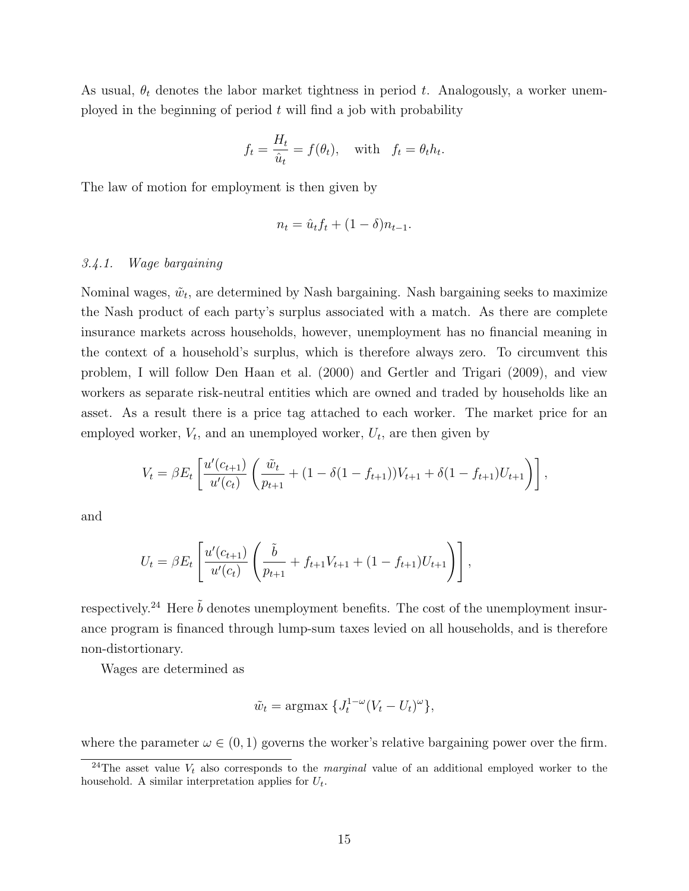As usual,  $\theta_t$  denotes the labor market tightness in period t. Analogously, a worker unemployed in the beginning of period  $t$  will find a job with probability

$$
f_t = \frac{H_t}{\hat{u}_t} = f(\theta_t)
$$
, with  $f_t = \theta_t h_t$ .

The law of motion for employment is then given by

$$
n_t = \hat{u}_t f_t + (1 - \delta)n_{t-1}.
$$

#### 3.4.1. Wage bargaining

Nominal wages,  $\tilde{w}_t$ , are determined by Nash bargaining. Nash bargaining seeks to maximize the Nash product of each party's surplus associated with a match. As there are complete insurance markets across households, however, unemployment has no financial meaning in the context of a household's surplus, which is therefore always zero. To circumvent this problem, I will follow Den Haan et al. (2000) and Gertler and Trigari (2009), and view workers as separate risk-neutral entities which are owned and traded by households like an asset. As a result there is a price tag attached to each worker. The market price for an employed worker,  $V_t$ , and an unemployed worker,  $U_t$ , are then given by

$$
V_t = \beta E_t \left[ \frac{u'(c_{t+1})}{u'(c_t)} \left( \frac{\tilde{w}_t}{p_{t+1}} + (1 - \delta(1 - f_{t+1})) V_{t+1} + \delta(1 - f_{t+1}) U_{t+1} \right) \right],
$$

and

$$
U_t = \beta E_t \left[ \frac{u'(c_{t+1})}{u'(c_t)} \left( \frac{\tilde{b}}{p_{t+1}} + f_{t+1} V_{t+1} + (1 - f_{t+1}) U_{t+1} \right) \right],
$$

respectively.<sup>24</sup> Here  $\tilde{b}$  denotes unemployment benefits. The cost of the unemployment insurance program is financed through lump-sum taxes levied on all households, and is therefore non-distortionary.

Wages are determined as

$$
\tilde{w}_t = \operatorname{argmax} \{ J_t^{1-\omega} (V_t - U_t)^{\omega} \},
$$

where the parameter  $\omega \in (0,1)$  governs the worker's relative bargaining power over the firm.

<sup>&</sup>lt;sup>24</sup>The asset value  $V_t$  also corresponds to the *marginal* value of an additional employed worker to the household. A similar interpretation applies for  $U_t$ .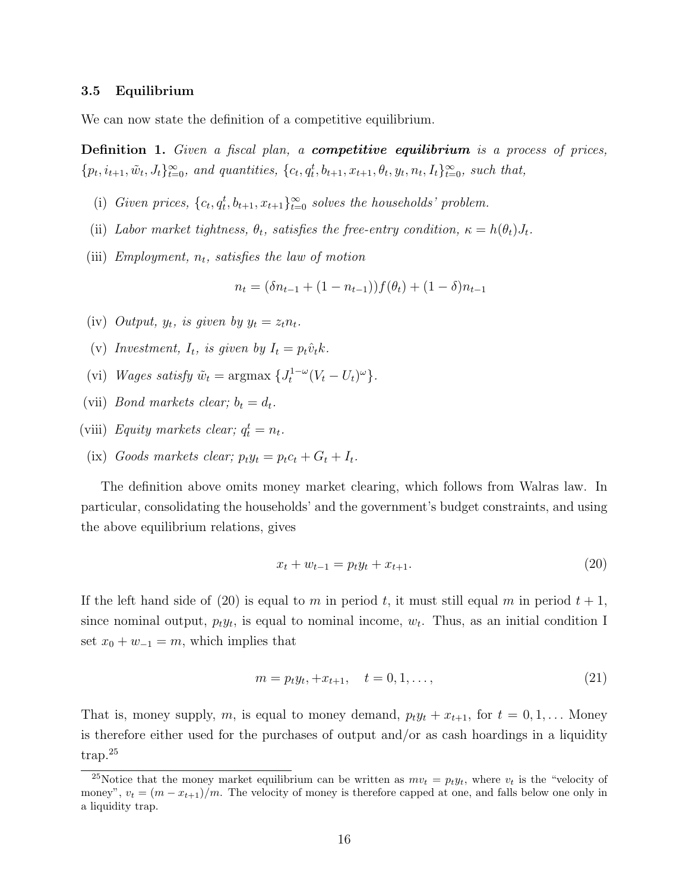#### 3.5 Equilibrium

We can now state the definition of a competitive equilibrium.

**Definition 1.** Given a fiscal plan, a **competitive equilibrium** is a process of prices,  ${p_t, i_{t+1}, \tilde{w}_t, J_t\}_{t=0}^{\infty}$ , and quantities,  ${c_t, q_t^t, b_{t+1}, x_{t+1}, \theta_t, y_t, n_t, I_t\}_{t=0}^{\infty}$ , such that,

- (i) Given prices,  $\{c_t, q_t^t, b_{t+1}, x_{t+1}\}_{t=0}^{\infty}$  solves the households' problem.
- (ii) Labor market tightness,  $\theta_t$ , satisfies the free-entry condition,  $\kappa = h(\theta_t)J_t$ .
- (iii) Employment,  $n_t$ , satisfies the law of motion

$$
n_t = (\delta n_{t-1} + (1 - n_{t-1}))f(\theta_t) + (1 - \delta)n_{t-1}
$$

- (iv) Output,  $y_t$ , is given by  $y_t = z_t n_t$ .
- (v) Investment,  $I_t$ , is given by  $I_t = p_t \hat{v}_t k$ .
- (vi) Wages satisfy  $\tilde{w}_t = \text{argmax} \{ J_t^{1-\omega} (V_t U_t)^{\omega} \}.$
- (vii) *Bond markets clear;*  $b_t = d_t$ .
- (viii) Equity markets clear;  $q_t^t = n_t$ .
- (ix) Goods markets clear;  $p_t y_t = p_t c_t + G_t + I_t$ .

The definition above omits money market clearing, which follows from Walras law. In particular, consolidating the households' and the government's budget constraints, and using the above equilibrium relations, gives

$$
x_t + w_{t-1} = p_t y_t + x_{t+1}.
$$
\n(20)

If the left hand side of (20) is equal to m in period t, it must still equal m in period  $t + 1$ , since nominal output,  $p_t y_t$ , is equal to nominal income,  $w_t$ . Thus, as an initial condition I set  $x_0 + w_{-1} = m$ , which implies that

$$
m = p_t y_t, +x_{t+1}, \quad t = 0, 1, \dots,
$$
\n<sup>(21)</sup>

That is, money supply, m, is equal to money demand,  $p_t y_t + x_{t+1}$ , for  $t = 0, 1, \ldots$  Money is therefore either used for the purchases of output and/or as cash hoardings in a liquidity trap.<sup>25</sup>

<sup>&</sup>lt;sup>25</sup>Notice that the money market equilibrium can be written as  $mv_t = p_t y_t$ , where  $v_t$  is the "velocity of money",  $v_t = (m - x_{t+1})/m$ . The velocity of money is therefore capped at one, and falls below one only in a liquidity trap.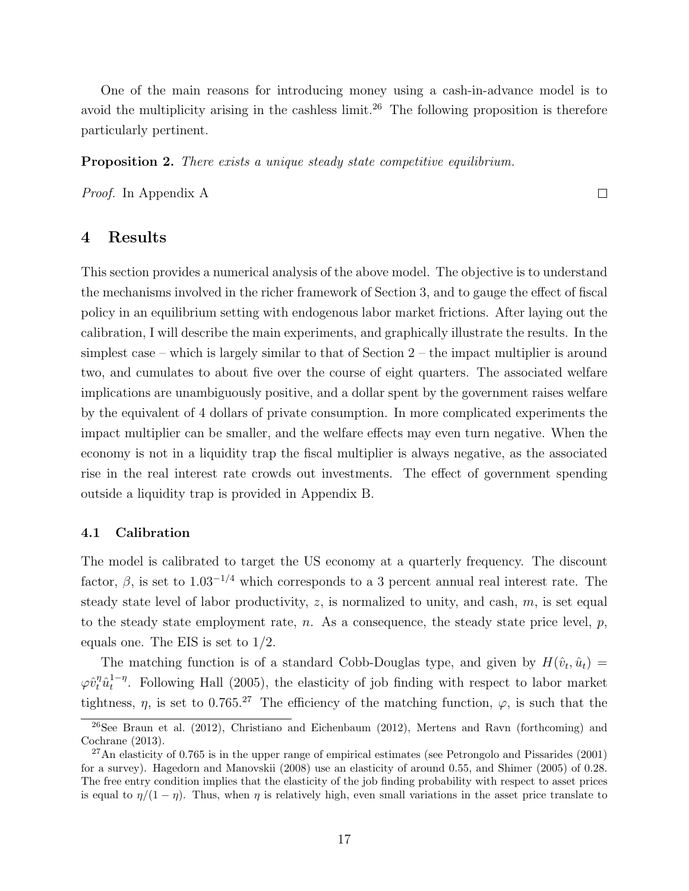One of the main reasons for introducing money using a cash-in-advance model is to avoid the multiplicity arising in the cashless limit.<sup>26</sup> The following proposition is therefore particularly pertinent.

**Proposition 2.** There exists a unique steady state competitive equilibrium.

Proof. In Appendix A

4 Results

This section provides a numerical analysis of the above model. The objective is to understand the mechanisms involved in the richer framework of Section 3, and to gauge the effect of fiscal policy in an equilibrium setting with endogenous labor market frictions. After laying out the calibration, I will describe the main experiments, and graphically illustrate the results. In the simplest case – which is largely similar to that of Section 2 – the impact multiplier is around two, and cumulates to about five over the course of eight quarters. The associated welfare implications are unambiguously positive, and a dollar spent by the government raises welfare by the equivalent of 4 dollars of private consumption. In more complicated experiments the impact multiplier can be smaller, and the welfare effects may even turn negative. When the economy is not in a liquidity trap the fiscal multiplier is always negative, as the associated rise in the real interest rate crowds out investments. The effect of government spending outside a liquidity trap is provided in Appendix B.

#### 4.1 Calibration

The model is calibrated to target the US economy at a quarterly frequency. The discount factor,  $\beta$ , is set to 1.03<sup>-1/4</sup> which corresponds to a 3 percent annual real interest rate. The steady state level of labor productivity,  $z$ , is normalized to unity, and cash,  $m$ , is set equal to the steady state employment rate, n. As a consequence, the steady state price level,  $p$ , equals one. The EIS is set to 1/2.

The matching function is of a standard Cobb-Douglas type, and given by  $H(\hat{v}_t, \hat{u}_t) =$  $\varphi \hat{v}_t^\eta \hat{u}_t^{1-\eta}$  $t_t^{-\eta}$ . Following Hall (2005), the elasticity of job finding with respect to labor market tightness,  $\eta$ , is set to 0.765.<sup>27</sup> The efficiency of the matching function,  $\varphi$ , is such that the

 $\Box$ 

 $26$ See Braun et al. (2012), Christiano and Eichenbaum (2012), Mertens and Ravn (forthcoming) and Cochrane (2013).

 $^{27}$ An elasticity of 0.765 is in the upper range of empirical estimates (see Petrongolo and Pissarides (2001) for a survey). Hagedorn and Manovskii (2008) use an elasticity of around 0.55, and Shimer (2005) of 0.28. The free entry condition implies that the elasticity of the job finding probability with respect to asset prices is equal to  $\eta/(1-\eta)$ . Thus, when  $\eta$  is relatively high, even small variations in the asset price translate to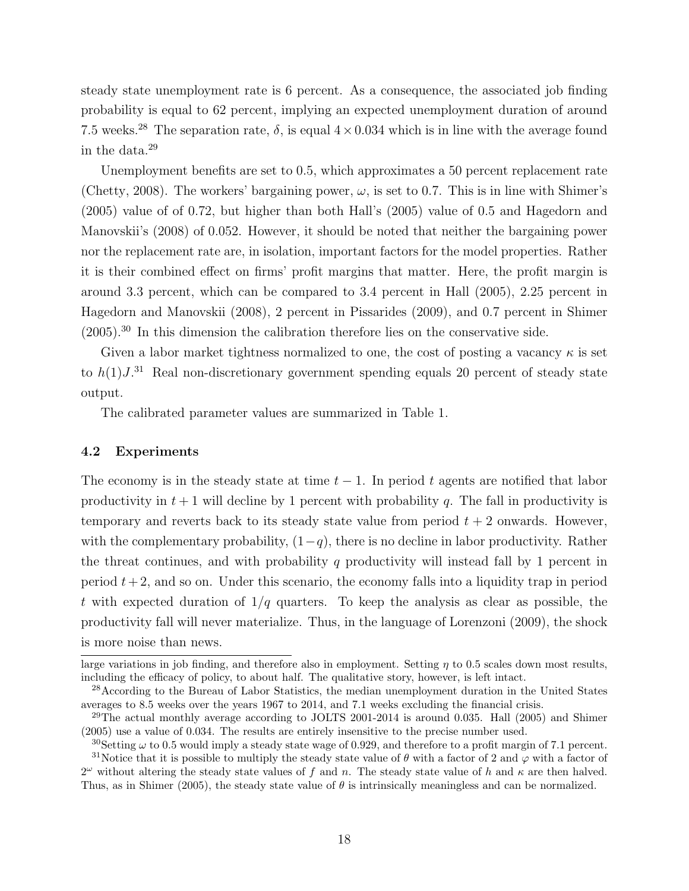steady state unemployment rate is 6 percent. As a consequence, the associated job finding probability is equal to 62 percent, implying an expected unemployment duration of around 7.5 weeks.<sup>28</sup> The separation rate,  $\delta$ , is equal  $4 \times 0.034$  which is in line with the average found in the data.<sup>29</sup>

Unemployment benefits are set to 0.5, which approximates a 50 percent replacement rate (Chetty, 2008). The workers' bargaining power,  $\omega$ , is set to 0.7. This is in line with Shimer's (2005) value of of 0.72, but higher than both Hall's (2005) value of 0.5 and Hagedorn and Manovskii's (2008) of 0.052. However, it should be noted that neither the bargaining power nor the replacement rate are, in isolation, important factors for the model properties. Rather it is their combined effect on firms' profit margins that matter. Here, the profit margin is around 3.3 percent, which can be compared to 3.4 percent in Hall (2005), 2.25 percent in Hagedorn and Manovskii (2008), 2 percent in Pissarides (2009), and 0.7 percent in Shimer  $(2005)$ .<sup>30</sup> In this dimension the calibration therefore lies on the conservative side.

Given a labor market tightness normalized to one, the cost of posting a vacancy  $\kappa$  is set to  $h(1)J^{31}$  Real non-discretionary government spending equals 20 percent of steady state output.

The calibrated parameter values are summarized in Table 1.

#### 4.2 Experiments

The economy is in the steady state at time  $t - 1$ . In period t agents are notified that labor productivity in  $t + 1$  will decline by 1 percent with probability q. The fall in productivity is temporary and reverts back to its steady state value from period  $t + 2$  onwards. However, with the complementary probability,  $(1-q)$ , there is no decline in labor productivity. Rather the threat continues, and with probability  $q$  productivity will instead fall by 1 percent in period  $t + 2$ , and so on. Under this scenario, the economy falls into a liquidity trap in period t with expected duration of  $1/q$  quarters. To keep the analysis as clear as possible, the productivity fall will never materialize. Thus, in the language of Lorenzoni (2009), the shock is more noise than news.

large variations in job finding, and therefore also in employment. Setting  $\eta$  to 0.5 scales down most results, including the efficacy of policy, to about half. The qualitative story, however, is left intact.

<sup>&</sup>lt;sup>28</sup>According to the Bureau of Labor Statistics, the median unemployment duration in the United States averages to 8.5 weeks over the years 1967 to 2014, and 7.1 weeks excluding the financial crisis.

 $^{29}$ The actual monthly average according to JOLTS 2001-2014 is around 0.035. Hall (2005) and Shimer (2005) use a value of 0.034. The results are entirely insensitive to the precise number used.

<sup>&</sup>lt;sup>30</sup>Setting  $\omega$  to 0.5 would imply a steady state wage of 0.929, and therefore to a profit margin of 7.1 percent.

<sup>&</sup>lt;sup>31</sup>Notice that it is possible to multiply the steady state value of  $\theta$  with a factor of 2 and  $\varphi$  with a factor of  $2^{\omega}$  without altering the steady state values of f and n. The steady state value of h and  $\kappa$  are then halved. Thus, as in Shimer (2005), the steady state value of  $\theta$  is intrinsically meaningless and can be normalized.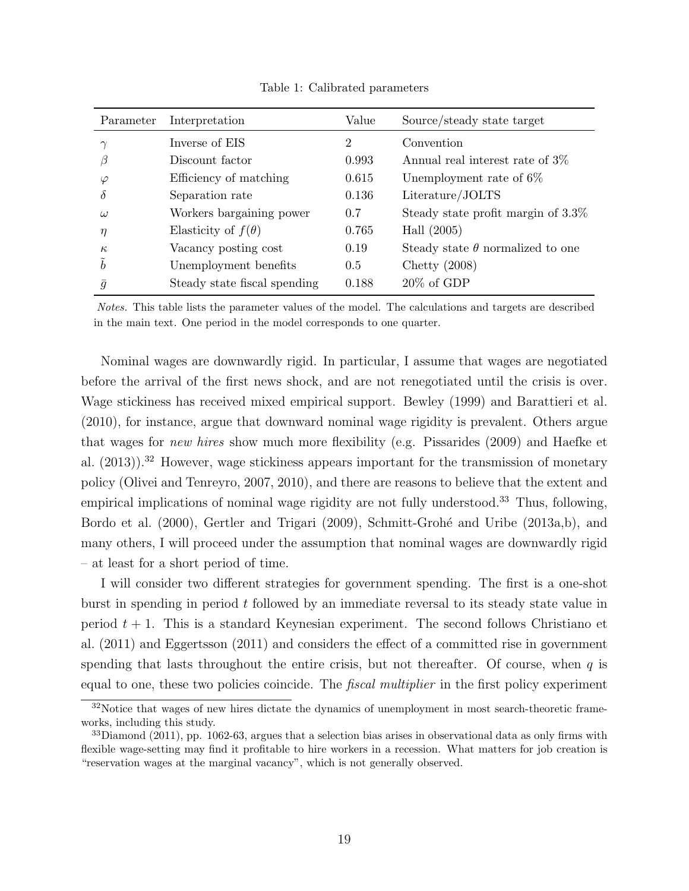| Parameter      | Interpretation               | Value | Source/steady state target              |
|----------------|------------------------------|-------|-----------------------------------------|
|                | Inverse of EIS               | 2     | Convention                              |
| В              | Discount factor              | 0.993 | Annual real interest rate of 3\%        |
| $\varphi$      | Efficiency of matching       | 0.615 | Unemployment rate of $6\%$              |
| $\delta$       | Separation rate              | 0.136 | Literature/JOLTS                        |
| $\omega$       | Workers bargaining power     | 0.7   | Steady state profit margin of $3.3\%$   |
| $\eta$         | Elasticity of $f(\theta)$    | 0.765 | Hall $(2005)$                           |
| $\kappa$       | Vacancy posting cost         | 0.19  | Steady state $\theta$ normalized to one |
| $\tilde{b}$    | Unemployment benefits        | 0.5   | Chetty $(2008)$                         |
| $\overline{g}$ | Steady state fiscal spending | 0.188 | $20\%$ of GDP                           |

Table 1: Calibrated parameters

Notes. This table lists the parameter values of the model. The calculations and targets are described in the main text. One period in the model corresponds to one quarter.

Nominal wages are downwardly rigid. In particular, I assume that wages are negotiated before the arrival of the first news shock, and are not renegotiated until the crisis is over. Wage stickiness has received mixed empirical support. Bewley (1999) and Barattieri et al. (2010), for instance, argue that downward nominal wage rigidity is prevalent. Others argue that wages for new hires show much more flexibility (e.g. Pissarides (2009) and Haefke et al.  $(2013)$ .<sup>32</sup> However, wage stickiness appears important for the transmission of monetary policy (Olivei and Tenreyro, 2007, 2010), and there are reasons to believe that the extent and empirical implications of nominal wage rigidity are not fully understood.<sup>33</sup> Thus, following, Bordo et al. (2000), Gertler and Trigari (2009), Schmitt-Grohé and Uribe (2013a,b), and many others, I will proceed under the assumption that nominal wages are downwardly rigid – at least for a short period of time.

I will consider two different strategies for government spending. The first is a one-shot burst in spending in period t followed by an immediate reversal to its steady state value in period  $t + 1$ . This is a standard Keynesian experiment. The second follows Christiano et al. (2011) and Eggertsson (2011) and considers the effect of a committed rise in government spending that lasts throughout the entire crisis, but not thereafter. Of course, when  $q$  is equal to one, these two policies coincide. The *fiscal multiplier* in the first policy experiment

<sup>&</sup>lt;sup>32</sup>Notice that wages of new hires dictate the dynamics of unemployment in most search-theoretic frameworks, including this study.

 $33$ Diamond (2011), pp. 1062-63, argues that a selection bias arises in observational data as only firms with flexible wage-setting may find it profitable to hire workers in a recession. What matters for job creation is "reservation wages at the marginal vacancy", which is not generally observed.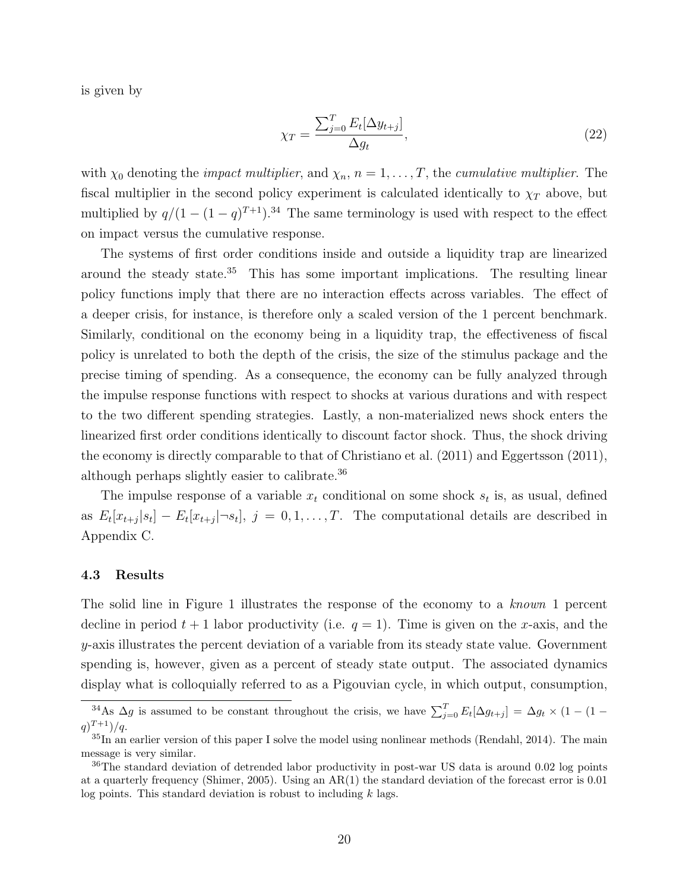is given by

$$
\chi_T = \frac{\sum_{j=0}^T E_t[\Delta y_{t+j}]}{\Delta y_t},\tag{22}
$$

with  $\chi_0$  denoting the *impact multiplier*, and  $\chi_n$ ,  $n = 1, \ldots, T$ , the *cumulative multiplier*. The fiscal multiplier in the second policy experiment is calculated identically to  $\chi_T$  above, but multiplied by  $q/(1-(1-q)^{T+1})$ .<sup>34</sup> The same terminology is used with respect to the effect on impact versus the cumulative response.

The systems of first order conditions inside and outside a liquidity trap are linearized around the steady state.<sup>35</sup> This has some important implications. The resulting linear policy functions imply that there are no interaction effects across variables. The effect of a deeper crisis, for instance, is therefore only a scaled version of the 1 percent benchmark. Similarly, conditional on the economy being in a liquidity trap, the effectiveness of fiscal policy is unrelated to both the depth of the crisis, the size of the stimulus package and the precise timing of spending. As a consequence, the economy can be fully analyzed through the impulse response functions with respect to shocks at various durations and with respect to the two different spending strategies. Lastly, a non-materialized news shock enters the linearized first order conditions identically to discount factor shock. Thus, the shock driving the economy is directly comparable to that of Christiano et al. (2011) and Eggertsson (2011), although perhaps slightly easier to calibrate.<sup>36</sup>

The impulse response of a variable  $x_t$  conditional on some shock  $s_t$  is, as usual, defined as  $E_t[x_{t+j}|s_t] - E_t[x_{t+j}|\neg s_t], j = 0, 1, \ldots, T$ . The computational details are described in Appendix C.

#### 4.3 Results

The solid line in Figure 1 illustrates the response of the economy to a known 1 percent decline in period  $t + 1$  labor productivity (i.e.  $q = 1$ ). Time is given on the x-axis, and the y-axis illustrates the percent deviation of a variable from its steady state value. Government spending is, however, given as a percent of steady state output. The associated dynamics display what is colloquially referred to as a Pigouvian cycle, in which output, consumption,

<sup>&</sup>lt;sup>34</sup>As  $\Delta g$  is assumed to be constant throughout the crisis, we have  $\sum_{j=0}^{T} E_t[\Delta g_{t+j}] = \Delta g_t \times (1 - (1 (q)^{T+1})/q.$ 

 ${}^{35}$ In an earlier version of this paper I solve the model using nonlinear methods (Rendahl, 2014). The main message is very similar.

 $36$ The standard deviation of detrended labor productivity in post-war US data is around 0.02 log points at a quarterly frequency (Shimer, 2005). Using an AR(1) the standard deviation of the forecast error is 0.01 log points. This standard deviation is robust to including  $k$  lags.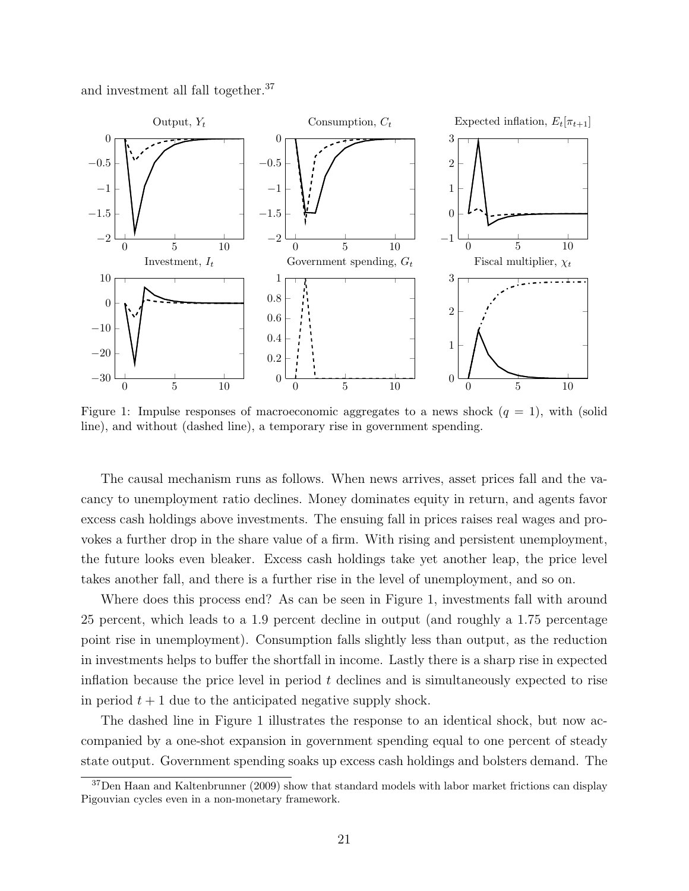and investment all fall together.<sup>37</sup>



Figure 1: Impulse responses of macroeconomic aggregates to a news shock  $(q = 1)$ , with (solid line), and without (dashed line), a temporary rise in government spending.

The causal mechanism runs as follows. When news arrives, asset prices fall and the vacancy to unemployment ratio declines. Money dominates equity in return, and agents favor excess cash holdings above investments. The ensuing fall in prices raises real wages and provokes a further drop in the share value of a firm. With rising and persistent unemployment, the future looks even bleaker. Excess cash holdings take yet another leap, the price level takes another fall, and there is a further rise in the level of unemployment, and so on.

Where does this process end? As can be seen in Figure 1, investments fall with around 25 percent, which leads to a 1.9 percent decline in output (and roughly a 1.75 percentage point rise in unemployment). Consumption falls slightly less than output, as the reduction in investments helps to buffer the shortfall in income. Lastly there is a sharp rise in expected inflation because the price level in period  $t$  declines and is simultaneously expected to rise in period  $t + 1$  due to the anticipated negative supply shock.

The dashed line in Figure 1 illustrates the response to an identical shock, but now accompanied by a one-shot expansion in government spending equal to one percent of steady state output. Government spending soaks up excess cash holdings and bolsters demand. The

<sup>37</sup>Den Haan and Kaltenbrunner (2009) show that standard models with labor market frictions can display Pigouvian cycles even in a non-monetary framework.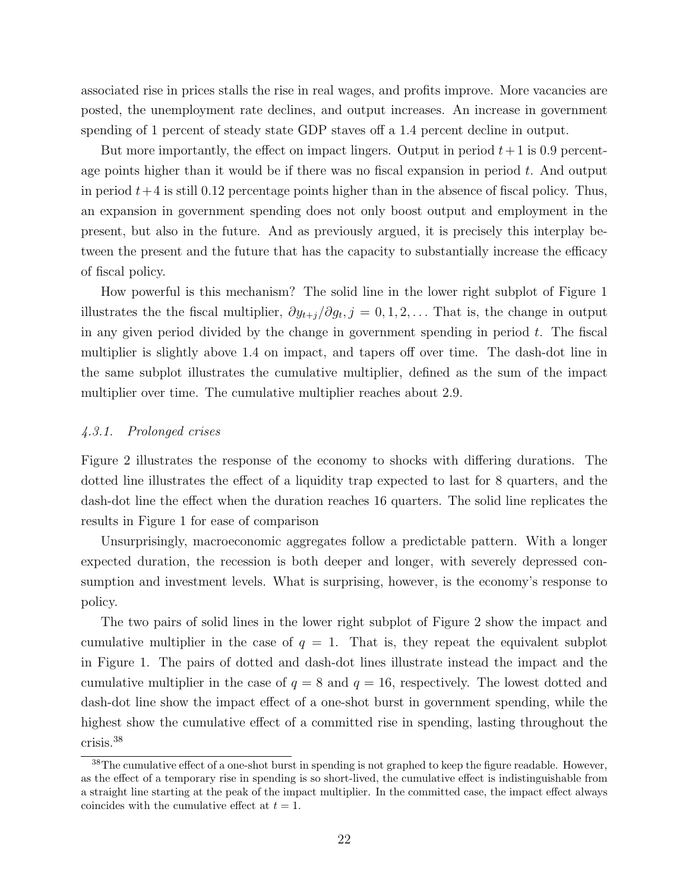associated rise in prices stalls the rise in real wages, and profits improve. More vacancies are posted, the unemployment rate declines, and output increases. An increase in government spending of 1 percent of steady state GDP staves off a 1.4 percent decline in output.

But more importantly, the effect on impact lingers. Output in period  $t+1$  is 0.9 percentage points higher than it would be if there was no fiscal expansion in period  $t$ . And output in period  $t+4$  is still 0.12 percentage points higher than in the absence of fiscal policy. Thus, an expansion in government spending does not only boost output and employment in the present, but also in the future. And as previously argued, it is precisely this interplay between the present and the future that has the capacity to substantially increase the efficacy of fiscal policy.

How powerful is this mechanism? The solid line in the lower right subplot of Figure 1 illustrates the the fiscal multiplier,  $\partial y_{t+j}/\partial g_t$ , j = 0, 1, 2, ... That is, the change in output in any given period divided by the change in government spending in period  $t$ . The fiscal multiplier is slightly above 1.4 on impact, and tapers off over time. The dash-dot line in the same subplot illustrates the cumulative multiplier, defined as the sum of the impact multiplier over time. The cumulative multiplier reaches about 2.9.

#### 4.3.1. Prolonged crises

Figure 2 illustrates the response of the economy to shocks with differing durations. The dotted line illustrates the effect of a liquidity trap expected to last for 8 quarters, and the dash-dot line the effect when the duration reaches 16 quarters. The solid line replicates the results in Figure 1 for ease of comparison

Unsurprisingly, macroeconomic aggregates follow a predictable pattern. With a longer expected duration, the recession is both deeper and longer, with severely depressed consumption and investment levels. What is surprising, however, is the economy's response to policy.

The two pairs of solid lines in the lower right subplot of Figure 2 show the impact and cumulative multiplier in the case of  $q = 1$ . That is, they repeat the equivalent subplot in Figure 1. The pairs of dotted and dash-dot lines illustrate instead the impact and the cumulative multiplier in the case of  $q = 8$  and  $q = 16$ , respectively. The lowest dotted and dash-dot line show the impact effect of a one-shot burst in government spending, while the highest show the cumulative effect of a committed rise in spending, lasting throughout the crisis.<sup>38</sup>

<sup>&</sup>lt;sup>38</sup>The cumulative effect of a one-shot burst in spending is not graphed to keep the figure readable. However, as the effect of a temporary rise in spending is so short-lived, the cumulative effect is indistinguishable from a straight line starting at the peak of the impact multiplier. In the committed case, the impact effect always coincides with the cumulative effect at  $t = 1$ .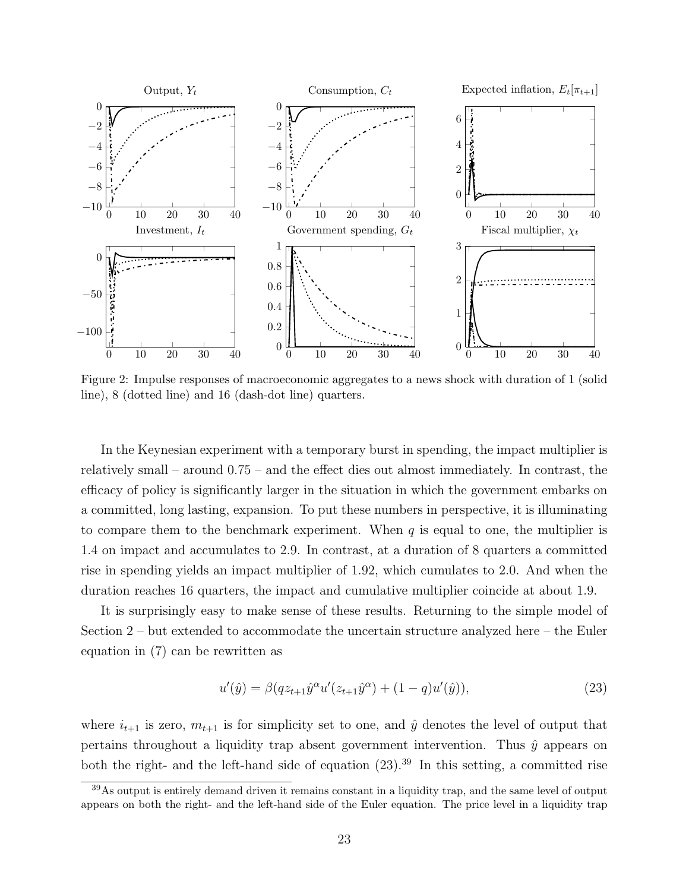

Figure 2: Impulse responses of macroeconomic aggregates to a news shock with duration of 1 (solid line), 8 (dotted line) and 16 (dash-dot line) quarters.

In the Keynesian experiment with a temporary burst in spending, the impact multiplier is relatively small – around 0.75 – and the effect dies out almost immediately. In contrast, the efficacy of policy is significantly larger in the situation in which the government embarks on a committed, long lasting, expansion. To put these numbers in perspective, it is illuminating to compare them to the benchmark experiment. When  $q$  is equal to one, the multiplier is 1.4 on impact and accumulates to 2.9. In contrast, at a duration of 8 quarters a committed rise in spending yields an impact multiplier of 1.92, which cumulates to 2.0. And when the duration reaches 16 quarters, the impact and cumulative multiplier coincide at about 1.9.

It is surprisingly easy to make sense of these results. Returning to the simple model of Section 2 – but extended to accommodate the uncertain structure analyzed here – the Euler equation in (7) can be rewritten as

$$
u'(\hat{y}) = \beta(qz_{t+1}\hat{y}^{\alpha}u'(z_{t+1}\hat{y}^{\alpha}) + (1-q)u'(\hat{y})),
$$
\n(23)

where  $i_{t+1}$  is zero,  $m_{t+1}$  is for simplicity set to one, and  $\hat{y}$  denotes the level of output that pertains throughout a liquidity trap absent government intervention. Thus  $\hat{y}$  appears on both the right- and the left-hand side of equation  $(23).^{39}$  In this setting, a committed rise

<sup>39</sup>As output is entirely demand driven it remains constant in a liquidity trap, and the same level of output appears on both the right- and the left-hand side of the Euler equation. The price level in a liquidity trap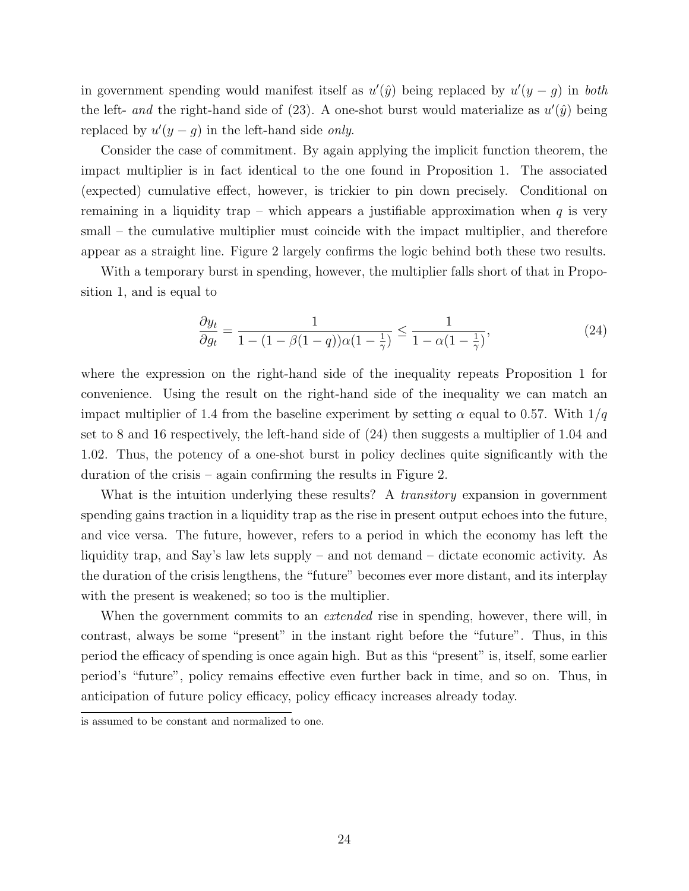in government spending would manifest itself as  $u'(\hat{y})$  being replaced by  $u'(y-g)$  in both the left- and the right-hand side of  $(23)$ . A one-shot burst would materialize as  $u'(\hat{y})$  being replaced by  $u'(y-g)$  in the left-hand side only.

Consider the case of commitment. By again applying the implicit function theorem, the impact multiplier is in fact identical to the one found in Proposition 1. The associated (expected) cumulative effect, however, is trickier to pin down precisely. Conditional on remaining in a liquidity trap – which appears a justifiable approximation when  $q$  is very small – the cumulative multiplier must coincide with the impact multiplier, and therefore appear as a straight line. Figure 2 largely confirms the logic behind both these two results.

With a temporary burst in spending, however, the multiplier falls short of that in Proposition 1, and is equal to

$$
\frac{\partial y_t}{\partial g_t} = \frac{1}{1 - (1 - \beta(1 - q))\alpha(1 - \frac{1}{\gamma})} \le \frac{1}{1 - \alpha(1 - \frac{1}{\gamma})},\tag{24}
$$

where the expression on the right-hand side of the inequality repeats Proposition 1 for convenience. Using the result on the right-hand side of the inequality we can match an impact multiplier of 1.4 from the baseline experiment by setting  $\alpha$  equal to 0.57. With  $1/q$ set to 8 and 16 respectively, the left-hand side of (24) then suggests a multiplier of 1.04 and 1.02. Thus, the potency of a one-shot burst in policy declines quite significantly with the duration of the crisis – again confirming the results in Figure 2.

What is the intuition underlying these results? A *transitory* expansion in government spending gains traction in a liquidity trap as the rise in present output echoes into the future, and vice versa. The future, however, refers to a period in which the economy has left the liquidity trap, and Say's law lets supply – and not demand – dictate economic activity. As the duration of the crisis lengthens, the "future" becomes ever more distant, and its interplay with the present is weakened; so too is the multiplier.

When the government commits to an *extended* rise in spending, however, there will, in contrast, always be some "present" in the instant right before the "future". Thus, in this period the efficacy of spending is once again high. But as this "present" is, itself, some earlier period's "future", policy remains effective even further back in time, and so on. Thus, in anticipation of future policy efficacy, policy efficacy increases already today.

is assumed to be constant and normalized to one.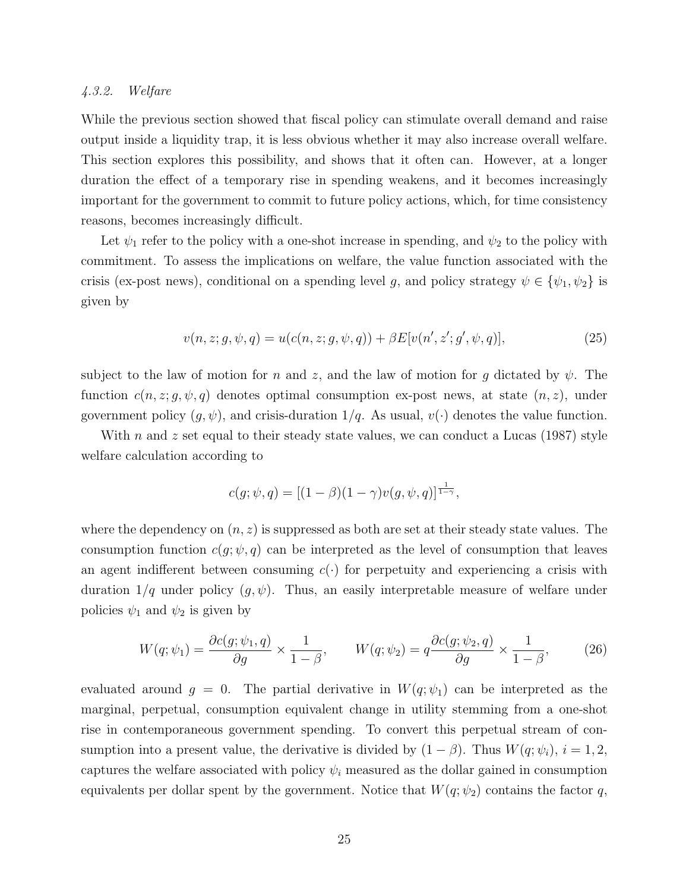#### 4.3.2. Welfare

While the previous section showed that fiscal policy can stimulate overall demand and raise output inside a liquidity trap, it is less obvious whether it may also increase overall welfare. This section explores this possibility, and shows that it often can. However, at a longer duration the effect of a temporary rise in spending weakens, and it becomes increasingly important for the government to commit to future policy actions, which, for time consistency reasons, becomes increasingly difficult.

Let  $\psi_1$  refer to the policy with a one-shot increase in spending, and  $\psi_2$  to the policy with commitment. To assess the implications on welfare, the value function associated with the crisis (ex-post news), conditional on a spending level g, and policy strategy  $\psi \in {\psi_1, \psi_2}$  is given by

$$
v(n, z; g, \psi, q) = u(c(n, z; g, \psi, q)) + \beta E[v(n', z'; g', \psi, q)],
$$
\n(25)

subject to the law of motion for n and z, and the law of motion for g dictated by  $\psi$ . The function  $c(n, z; g, \psi, q)$  denotes optimal consumption ex-post news, at state  $(n, z)$ , under government policy  $(g, \psi)$ , and crisis-duration  $1/q$ . As usual,  $v(\cdot)$  denotes the value function.

With n and z set equal to their steady state values, we can conduct a Lucas  $(1987)$  style welfare calculation according to

$$
c(g; \psi, q) = [(1 - \beta)(1 - \gamma)v(g, \psi, q)]^{\frac{1}{1 - \gamma}},
$$

where the dependency on  $(n, z)$  is suppressed as both are set at their steady state values. The consumption function  $c(g; \psi, q)$  can be interpreted as the level of consumption that leaves an agent indifferent between consuming  $c(\cdot)$  for perpetuity and experiencing a crisis with duration  $1/q$  under policy  $(g, \psi)$ . Thus, an easily interpretable measure of welfare under policies  $\psi_1$  and  $\psi_2$  is given by

$$
W(q; \psi_1) = \frac{\partial c(g; \psi_1, q)}{\partial g} \times \frac{1}{1 - \beta}, \qquad W(q; \psi_2) = q \frac{\partial c(g; \psi_2, q)}{\partial g} \times \frac{1}{1 - \beta}, \tag{26}
$$

evaluated around  $g = 0$ . The partial derivative in  $W(q; \psi_1)$  can be interpreted as the marginal, perpetual, consumption equivalent change in utility stemming from a one-shot rise in contemporaneous government spending. To convert this perpetual stream of consumption into a present value, the derivative is divided by  $(1 - \beta)$ . Thus  $W(q; \psi_i)$ ,  $i = 1, 2$ , captures the welfare associated with policy  $\psi_i$  measured as the dollar gained in consumption equivalents per dollar spent by the government. Notice that  $W(q; \psi_2)$  contains the factor q,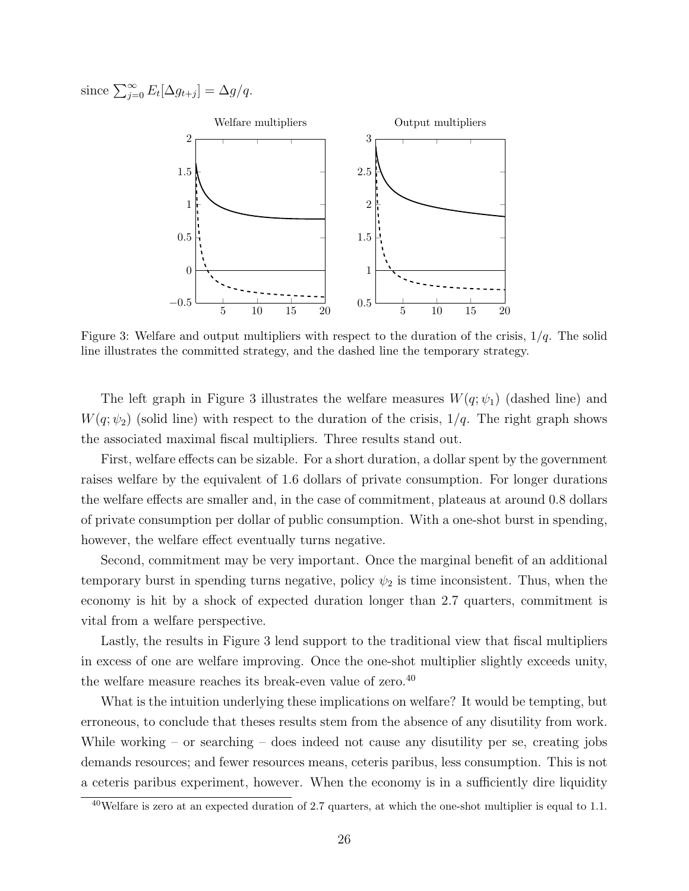since  $\sum_{j=0}^{\infty} E_t[\Delta g_{t+j}] = \Delta g/q$ .



Figure 3: Welfare and output multipliers with respect to the duration of the crisis,  $1/q$ . The solid line illustrates the committed strategy, and the dashed line the temporary strategy.

The left graph in Figure 3 illustrates the welfare measures  $W(q; \psi_1)$  (dashed line) and  $W(q; \psi_2)$  (solid line) with respect to the duration of the crisis,  $1/q$ . The right graph shows the associated maximal fiscal multipliers. Three results stand out.

First, welfare effects can be sizable. For a short duration, a dollar spent by the government raises welfare by the equivalent of 1.6 dollars of private consumption. For longer durations the welfare effects are smaller and, in the case of commitment, plateaus at around 0.8 dollars of private consumption per dollar of public consumption. With a one-shot burst in spending, however, the welfare effect eventually turns negative.

Second, commitment may be very important. Once the marginal benefit of an additional temporary burst in spending turns negative, policy  $\psi_2$  is time inconsistent. Thus, when the economy is hit by a shock of expected duration longer than 2.7 quarters, commitment is vital from a welfare perspective.

Lastly, the results in Figure 3 lend support to the traditional view that fiscal multipliers in excess of one are welfare improving. Once the one-shot multiplier slightly exceeds unity, the welfare measure reaches its break-even value of zero.<sup>40</sup>

What is the intuition underlying these implications on welfare? It would be tempting, but erroneous, to conclude that theses results stem from the absence of any disutility from work. While working – or searching – does indeed not cause any disutility per se, creating jobs demands resources; and fewer resources means, ceteris paribus, less consumption. This is not a ceteris paribus experiment, however. When the economy is in a sufficiently dire liquidity

 $^{40}$ Welfare is zero at an expected duration of 2.7 quarters, at which the one-shot multiplier is equal to 1.1.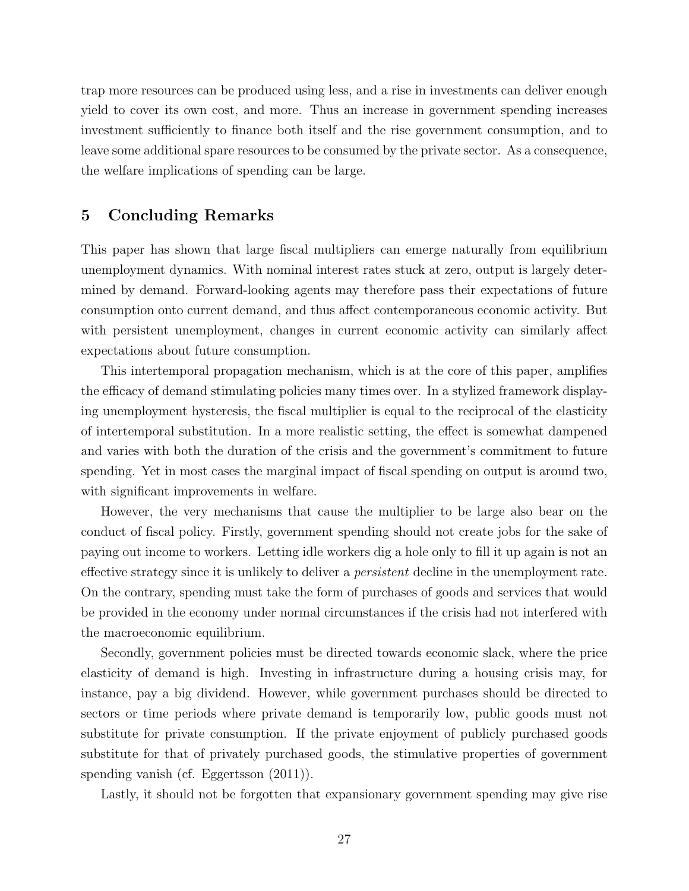trap more resources can be produced using less, and a rise in investments can deliver enough yield to cover its own cost, and more. Thus an increase in government spending increases investment sufficiently to finance both itself and the rise government consumption, and to leave some additional spare resources to be consumed by the private sector. As a consequence, the welfare implications of spending can be large.

# 5 Concluding Remarks

This paper has shown that large fiscal multipliers can emerge naturally from equilibrium unemployment dynamics. With nominal interest rates stuck at zero, output is largely determined by demand. Forward-looking agents may therefore pass their expectations of future consumption onto current demand, and thus affect contemporaneous economic activity. But with persistent unemployment, changes in current economic activity can similarly affect expectations about future consumption.

This intertemporal propagation mechanism, which is at the core of this paper, amplifies the efficacy of demand stimulating policies many times over. In a stylized framework displaying unemployment hysteresis, the fiscal multiplier is equal to the reciprocal of the elasticity of intertemporal substitution. In a more realistic setting, the effect is somewhat dampened and varies with both the duration of the crisis and the government's commitment to future spending. Yet in most cases the marginal impact of fiscal spending on output is around two, with significant improvements in welfare.

However, the very mechanisms that cause the multiplier to be large also bear on the conduct of fiscal policy. Firstly, government spending should not create jobs for the sake of paying out income to workers. Letting idle workers dig a hole only to fill it up again is not an effective strategy since it is unlikely to deliver a persistent decline in the unemployment rate. On the contrary, spending must take the form of purchases of goods and services that would be provided in the economy under normal circumstances if the crisis had not interfered with the macroeconomic equilibrium.

Secondly, government policies must be directed towards economic slack, where the price elasticity of demand is high. Investing in infrastructure during a housing crisis may, for instance, pay a big dividend. However, while government purchases should be directed to sectors or time periods where private demand is temporarily low, public goods must not substitute for private consumption. If the private enjoyment of publicly purchased goods substitute for that of privately purchased goods, the stimulative properties of government spending vanish (cf. Eggertsson (2011)).

Lastly, it should not be forgotten that expansionary government spending may give rise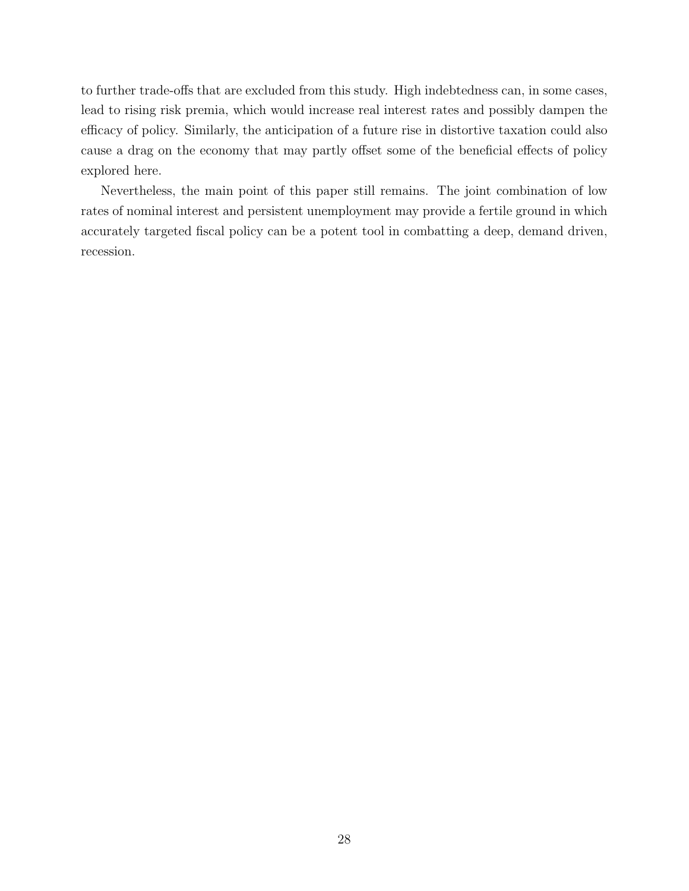to further trade-offs that are excluded from this study. High indebtedness can, in some cases, lead to rising risk premia, which would increase real interest rates and possibly dampen the efficacy of policy. Similarly, the anticipation of a future rise in distortive taxation could also cause a drag on the economy that may partly offset some of the beneficial effects of policy explored here.

Nevertheless, the main point of this paper still remains. The joint combination of low rates of nominal interest and persistent unemployment may provide a fertile ground in which accurately targeted fiscal policy can be a potent tool in combatting a deep, demand driven, recession.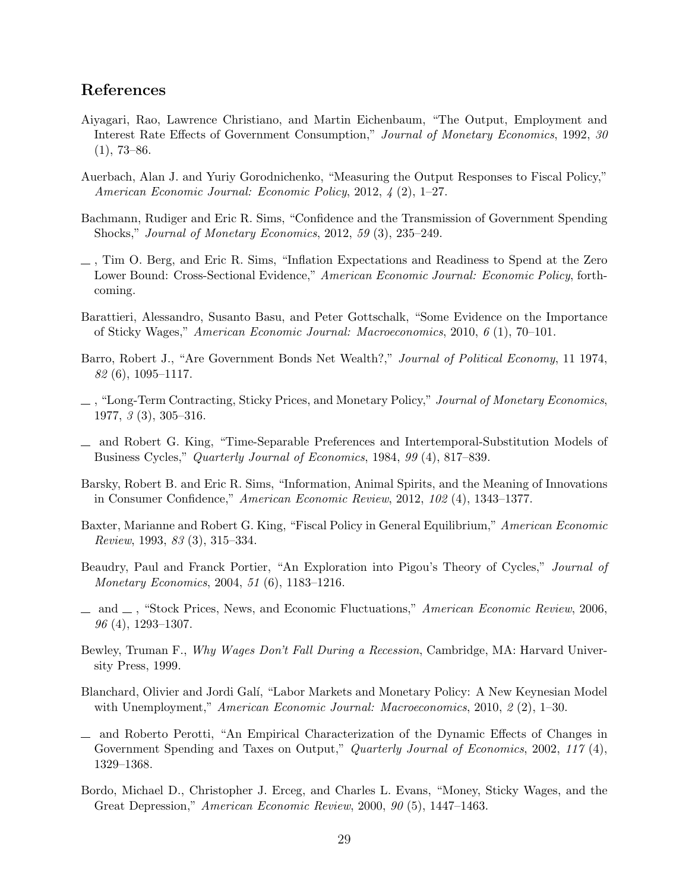# References

- Aiyagari, Rao, Lawrence Christiano, and Martin Eichenbaum, "The Output, Employment and Interest Rate Effects of Government Consumption," Journal of Monetary Economics, 1992, 30  $(1), 73-86.$
- Auerbach, Alan J. and Yuriy Gorodnichenko, "Measuring the Output Responses to Fiscal Policy," American Economic Journal: Economic Policy, 2012, 4 (2), 1–27.
- Bachmann, Rudiger and Eric R. Sims, "Confidence and the Transmission of Government Spending Shocks," Journal of Monetary Economics, 2012, 59 (3), 235–249.
- , Tim O. Berg, and Eric R. Sims, "Inflation Expectations and Readiness to Spend at the Zero Lower Bound: Cross-Sectional Evidence," American Economic Journal: Economic Policy, forthcoming.
- Barattieri, Alessandro, Susanto Basu, and Peter Gottschalk, "Some Evidence on the Importance of Sticky Wages," American Economic Journal: Macroeconomics, 2010, 6 (1), 70–101.
- Barro, Robert J., "Are Government Bonds Net Wealth?," Journal of Political Economy, 11 1974,  $82(6)$ , 1095–1117.
- $\Box$ , "Long-Term Contracting, Sticky Prices, and Monetary Policy," Journal of Monetary Economics. 1977, 3 (3), 305–316.
- and Robert G. King, "Time-Separable Preferences and Intertemporal-Substitution Models of Business Cycles," Quarterly Journal of Economics, 1984, 99 (4), 817–839.
- Barsky, Robert B. and Eric R. Sims, "Information, Animal Spirits, and the Meaning of Innovations in Consumer Confidence," American Economic Review, 2012, 102 (4), 1343–1377.
- Baxter, Marianne and Robert G. King, "Fiscal Policy in General Equilibrium," American Economic Review, 1993, 83 (3), 315–334.
- Beaudry, Paul and Franck Portier, "An Exploration into Pigou's Theory of Cycles," Journal of Monetary Economics, 2004, 51 (6), 1183–1216.
- \_ and \_, "Stock Prices, News, and Economic Fluctuations," American Economic Review, 2006, 96 (4), 1293–1307.
- Bewley, Truman F., Why Wages Don't Fall During a Recession, Cambridge, MA: Harvard University Press, 1999.
- Blanchard, Olivier and Jordi Gal´ı, "Labor Markets and Monetary Policy: A New Keynesian Model with Unemployment," American Economic Journal: Macroeconomics, 2010, 2 (2), 1–30.
- and Roberto Perotti, "An Empirical Characterization of the Dynamic Effects of Changes in Government Spending and Taxes on Output," Quarterly Journal of Economics, 2002, 117(4), 1329–1368.
- Bordo, Michael D., Christopher J. Erceg, and Charles L. Evans, "Money, Sticky Wages, and the Great Depression," American Economic Review, 2000, 90 (5), 1447–1463.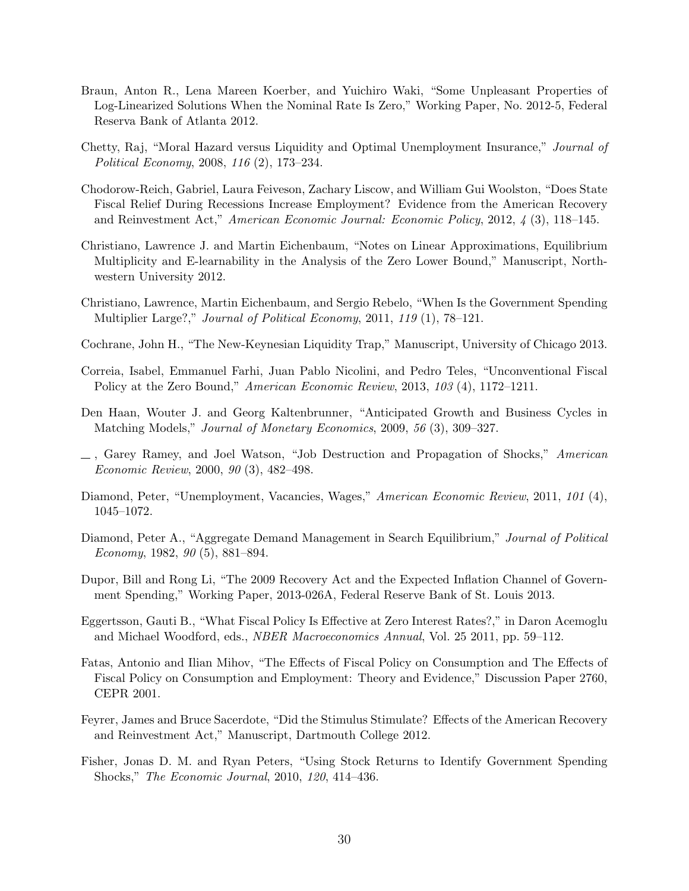- Braun, Anton R., Lena Mareen Koerber, and Yuichiro Waki, "Some Unpleasant Properties of Log-Linearized Solutions When the Nominal Rate Is Zero," Working Paper, No. 2012-5, Federal Reserva Bank of Atlanta 2012.
- Chetty, Raj, "Moral Hazard versus Liquidity and Optimal Unemployment Insurance," Journal of Political Economy, 2008, 116 (2), 173–234.
- Chodorow-Reich, Gabriel, Laura Feiveson, Zachary Liscow, and William Gui Woolston, "Does State Fiscal Relief During Recessions Increase Employment? Evidence from the American Recovery and Reinvestment Act," American Economic Journal: Economic Policy, 2012, 4 (3), 118–145.
- Christiano, Lawrence J. and Martin Eichenbaum, "Notes on Linear Approximations, Equilibrium Multiplicity and E-learnability in the Analysis of the Zero Lower Bound," Manuscript, Northwestern University 2012.
- Christiano, Lawrence, Martin Eichenbaum, and Sergio Rebelo, "When Is the Government Spending Multiplier Large?," Journal of Political Economy, 2011, 119 (1), 78–121.
- Cochrane, John H., "The New-Keynesian Liquidity Trap," Manuscript, University of Chicago 2013.
- Correia, Isabel, Emmanuel Farhi, Juan Pablo Nicolini, and Pedro Teles, "Unconventional Fiscal Policy at the Zero Bound," American Economic Review, 2013, 103 (4), 1172–1211.
- Den Haan, Wouter J. and Georg Kaltenbrunner, "Anticipated Growth and Business Cycles in Matching Models," Journal of Monetary Economics, 2009, 56 (3), 309–327.
- $\Box$ , Garey Ramey, and Joel Watson, "Job Destruction and Propagation of Shocks," American Economic Review, 2000, 90 (3), 482–498.
- Diamond, Peter, "Unemployment, Vacancies, Wages," American Economic Review, 2011, 101 (4), 1045–1072.
- Diamond, Peter A., "Aggregate Demand Management in Search Equilibrium," Journal of Political Economy, 1982, 90 (5), 881–894.
- Dupor, Bill and Rong Li, "The 2009 Recovery Act and the Expected Inflation Channel of Government Spending," Working Paper, 2013-026A, Federal Reserve Bank of St. Louis 2013.
- Eggertsson, Gauti B., "What Fiscal Policy Is Effective at Zero Interest Rates?," in Daron Acemoglu and Michael Woodford, eds., NBER Macroeconomics Annual, Vol. 25 2011, pp. 59–112.
- Fatas, Antonio and Ilian Mihov, "The Effects of Fiscal Policy on Consumption and The Effects of Fiscal Policy on Consumption and Employment: Theory and Evidence," Discussion Paper 2760, CEPR 2001.
- Feyrer, James and Bruce Sacerdote, "Did the Stimulus Stimulate? Effects of the American Recovery and Reinvestment Act," Manuscript, Dartmouth College 2012.
- Fisher, Jonas D. M. and Ryan Peters, "Using Stock Returns to Identify Government Spending Shocks," The Economic Journal, 2010, 120, 414–436.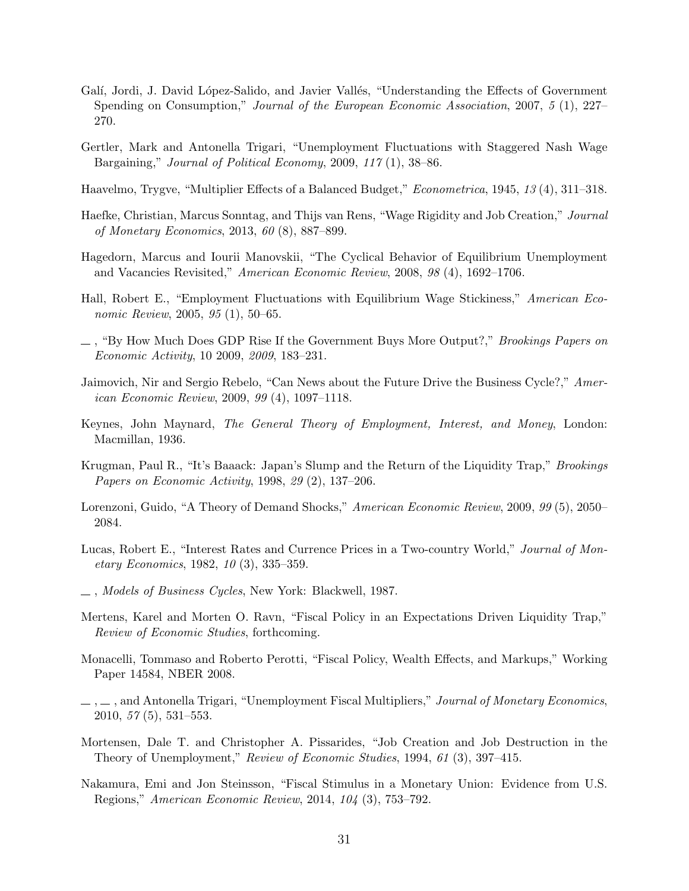- Galí, Jordi, J. David López-Salido, and Javier Vallés, "Understanding the Effects of Government Spending on Consumption," Journal of the European Economic Association, 2007, 5 (1), 227– 270.
- Gertler, Mark and Antonella Trigari, "Unemployment Fluctuations with Staggered Nash Wage Bargaining," Journal of Political Economy, 2009, 117 (1), 38–86.
- Haavelmo, Trygve, "Multiplier Effects of a Balanced Budget," Econometrica, 1945, 13 (4), 311–318.
- Haefke, Christian, Marcus Sonntag, and Thijs van Rens, "Wage Rigidity and Job Creation," Journal of Monetary Economics, 2013, 60 (8), 887–899.
- Hagedorn, Marcus and Iourii Manovskii, "The Cyclical Behavior of Equilibrium Unemployment and Vacancies Revisited," American Economic Review, 2008, 98 (4), 1692–1706.
- Hall, Robert E., "Employment Fluctuations with Equilibrium Wage Stickiness," American Economic Review, 2005, 95 (1), 50–65.
- , "By How Much Does GDP Rise If the Government Buys More Output?," Brookings Papers on Economic Activity, 10 2009, 2009, 183–231.
- Jaimovich, Nir and Sergio Rebelo, "Can News about the Future Drive the Business Cycle?," American Economic Review, 2009, 99 (4), 1097–1118.
- Keynes, John Maynard, The General Theory of Employment, Interest, and Money, London: Macmillan, 1936.
- Krugman, Paul R., "It's Baaack: Japan's Slump and the Return of the Liquidity Trap," Brookings Papers on Economic Activity, 1998, 29 (2), 137–206.
- Lorenzoni, Guido, "A Theory of Demand Shocks," American Economic Review, 2009, 99 (5), 2050– 2084.
- Lucas, Robert E., "Interest Rates and Currence Prices in a Two-country World," Journal of Monetary Economics, 1982, 10 (3), 335–359.
- , Models of Business Cycles, New York: Blackwell, 1987.
- Mertens, Karel and Morten O. Ravn, "Fiscal Policy in an Expectations Driven Liquidity Trap," Review of Economic Studies, forthcoming.
- Monacelli, Tommaso and Roberto Perotti, "Fiscal Policy, Wealth Effects, and Markups," Working Paper 14584, NBER 2008.
- $\ldots$ , and Antonella Trigari, "Unemployment Fiscal Multipliers," *Journal of Monetary Economics*, 2010, 57 (5), 531–553.
- Mortensen, Dale T. and Christopher A. Pissarides, "Job Creation and Job Destruction in the Theory of Unemployment," Review of Economic Studies, 1994, 61 (3), 397–415.
- Nakamura, Emi and Jon Steinsson, "Fiscal Stimulus in a Monetary Union: Evidence from U.S. Regions," American Economic Review, 2014, 104 (3), 753–792.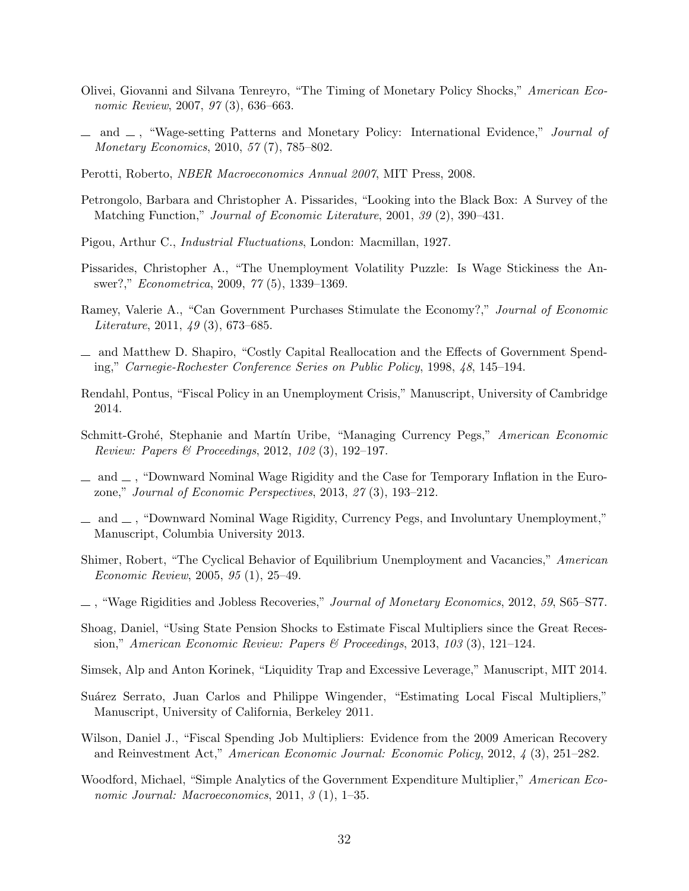- Olivei, Giovanni and Silvana Tenreyro, "The Timing of Monetary Policy Shocks," American Economic Review, 2007, 97 (3), 636–663.
- $\Box$  and  $\Box$ , "Wage-setting Patterns and Monetary Policy: International Evidence," *Journal of* Monetary Economics, 2010, 57 (7), 785–802.
- Perotti, Roberto, NBER Macroeconomics Annual 2007, MIT Press, 2008.
- Petrongolo, Barbara and Christopher A. Pissarides, "Looking into the Black Box: A Survey of the Matching Function," Journal of Economic Literature, 2001, 39 (2), 390–431.
- Pigou, Arthur C., Industrial Fluctuations, London: Macmillan, 1927.
- Pissarides, Christopher A., "The Unemployment Volatility Puzzle: Is Wage Stickiness the Answer?," Econometrica, 2009, 77 (5), 1339–1369.
- Ramey, Valerie A., "Can Government Purchases Stimulate the Economy?," Journal of Economic Literature, 2011, 49 (3), 673–685.
- and Matthew D. Shapiro, "Costly Capital Reallocation and the Effects of Government Spending," Carnegie-Rochester Conference Series on Public Policy, 1998, 48, 145–194.
- Rendahl, Pontus, "Fiscal Policy in an Unemployment Crisis," Manuscript, University of Cambridge 2014.
- Schmitt-Grohé, Stephanie and Martín Uribe, "Managing Currency Pegs," American Economic Review: Papers & Proceedings, 2012, 102 (3), 192–197.
- $\mu$  and  $\mu$ , "Downward Nominal Wage Rigidity and the Case for Temporary Inflation in the Eurozone," Journal of Economic Perspectives, 2013, 27 (3), 193–212.
- $\equiv$  and  $\equiv$ , "Downward Nominal Wage Rigidity, Currency Pegs, and Involuntary Unemployment," Manuscript, Columbia University 2013.
- Shimer, Robert, "The Cyclical Behavior of Equilibrium Unemployment and Vacancies," American Economic Review, 2005, 95 (1), 25–49.
- $\ldots$ , "Wage Rigidities and Jobless Recoveries," *Journal of Monetary Economics*, 2012, 59, S65–S77.
- Shoag, Daniel, "Using State Pension Shocks to Estimate Fiscal Multipliers since the Great Recession," American Economic Review: Papers & Proceedings, 2013, 103 (3), 121–124.
- Simsek, Alp and Anton Korinek, "Liquidity Trap and Excessive Leverage," Manuscript, MIT 2014.
- Suárez Serrato, Juan Carlos and Philippe Wingender, "Estimating Local Fiscal Multipliers," Manuscript, University of California, Berkeley 2011.
- Wilson, Daniel J., "Fiscal Spending Job Multipliers: Evidence from the 2009 American Recovery and Reinvestment Act," American Economic Journal: Economic Policy, 2012, 4 (3), 251–282.
- Woodford, Michael, "Simple Analytics of the Government Expenditure Multiplier," American Economic Journal: Macroeconomics, 2011, 3 (1), 1–35.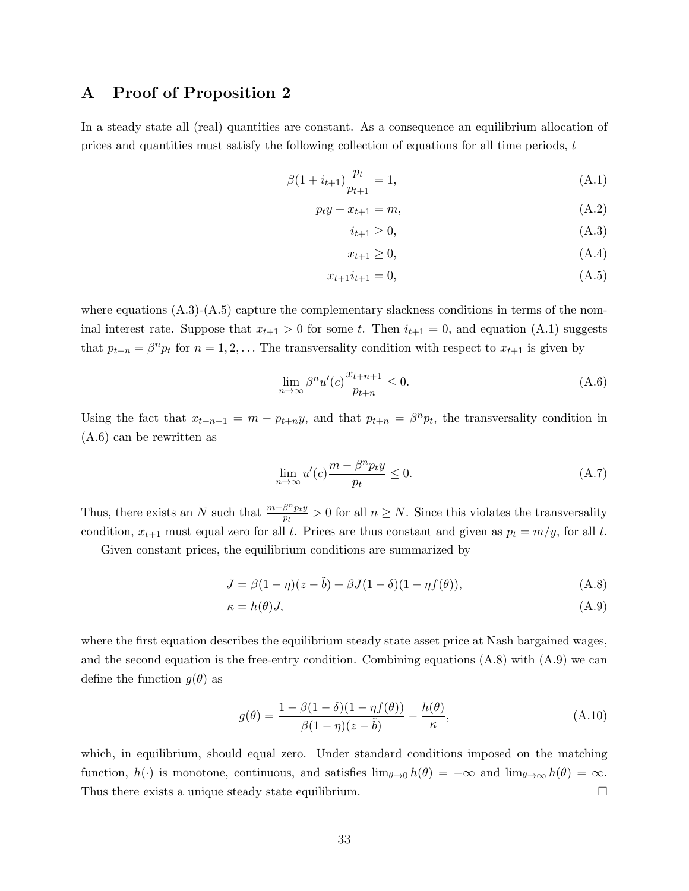# A Proof of Proposition 2

In a steady state all (real) quantities are constant. As a consequence an equilibrium allocation of prices and quantities must satisfy the following collection of equations for all time periods,  $t$ 

$$
\beta(1 + i_{t+1})\frac{p_t}{p_{t+1}} = 1,\tag{A.1}
$$

$$
p_t y + x_{t+1} = m,\tag{A.2}
$$

$$
i_{t+1} \ge 0,\tag{A.3}
$$

$$
x_{t+1} \ge 0,\tag{A.4}
$$

$$
x_{t+1}i_{t+1} = 0,\t\t(A.5)
$$

where equations  $(A.3)-(A.5)$  capture the complementary slackness conditions in terms of the nominal interest rate. Suppose that  $x_{t+1} > 0$  for some t. Then  $i_{t+1} = 0$ , and equation (A.1) suggests that  $p_{t+n} = \beta^n p_t$  for  $n = 1, 2, \ldots$  The transversality condition with respect to  $x_{t+1}$  is given by

$$
\lim_{n \to \infty} \beta^n u'(c) \frac{x_{t+n+1}}{p_{t+n}} \le 0.
$$
\n(A.6)

Using the fact that  $x_{t+n+1} = m - p_{t+n}y$ , and that  $p_{t+n} = \beta^n p_t$ , the transversality condition in (A.6) can be rewritten as

$$
\lim_{n \to \infty} u'(c) \frac{m - \beta^n p_t y}{p_t} \le 0. \tag{A.7}
$$

Thus, there exists an N such that  $\frac{m-\beta^np_ty}{n}$  $\frac{\beta^n p_t y}{p_t} > 0$  for all  $n \geq N$ . Since this violates the transversality condition,  $x_{t+1}$  must equal zero for all t. Prices are thus constant and given as  $p_t = m/y$ , for all t.

Given constant prices, the equilibrium conditions are summarized by

$$
J = \beta(1 - \eta)(z - \tilde{b}) + \beta J(1 - \delta)(1 - \eta f(\theta)),
$$
\n(A.8)

$$
\kappa = h(\theta)J,\tag{A.9}
$$

where the first equation describes the equilibrium steady state asset price at Nash bargained wages, and the second equation is the free-entry condition. Combining equations  $(A.8)$  with  $(A.9)$  we can define the function  $g(\theta)$  as

$$
g(\theta) = \frac{1 - \beta(1 - \delta)(1 - \eta f(\theta))}{\beta(1 - \eta)(z - \tilde{b})} - \frac{h(\theta)}{\kappa},
$$
\n(A.10)

which, in equilibrium, should equal zero. Under standard conditions imposed on the matching function,  $h(\cdot)$  is monotone, continuous, and satisfies  $\lim_{\theta \to 0} h(\theta) = -\infty$  and  $\lim_{\theta \to \infty} h(\theta) = \infty$ . Thus there exists a unique steady state equilibrium.  $\Box$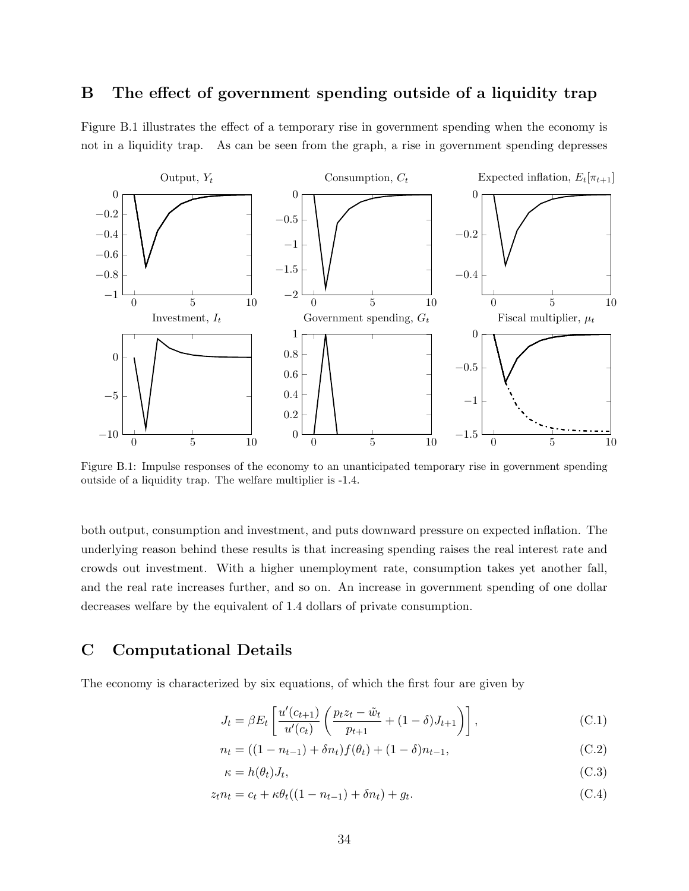# B The effect of government spending outside of a liquidity trap

Figure B.1 illustrates the effect of a temporary rise in government spending when the economy is not in a liquidity trap. As can be seen from the graph, a rise in government spending depresses



Figure B.1: Impulse responses of the economy to an unanticipated temporary rise in government spending outside of a liquidity trap. The welfare multiplier is -1.4.

both output, consumption and investment, and puts downward pressure on expected inflation. The underlying reason behind these results is that increasing spending raises the real interest rate and crowds out investment. With a higher unemployment rate, consumption takes yet another fall, and the real rate increases further, and so on. An increase in government spending of one dollar decreases welfare by the equivalent of 1.4 dollars of private consumption.

# C Computational Details

The economy is characterized by six equations, of which the first four are given by

$$
J_t = \beta E_t \left[ \frac{u'(c_{t+1})}{u'(c_t)} \left( \frac{p_t z_t - \tilde{w}_t}{p_{t+1}} + (1 - \delta) J_{t+1} \right) \right],
$$
 (C.1)

$$
n_t = ((1 - n_{t-1}) + \delta n_t)f(\theta_t) + (1 - \delta)n_{t-1},
$$
\n(C.2)

$$
\kappa = h(\theta_t)J_t,\tag{C.3}
$$

$$
z_t n_t = c_t + \kappa \theta_t ((1 - n_{t-1}) + \delta n_t) + g_t.
$$
\n(C.4)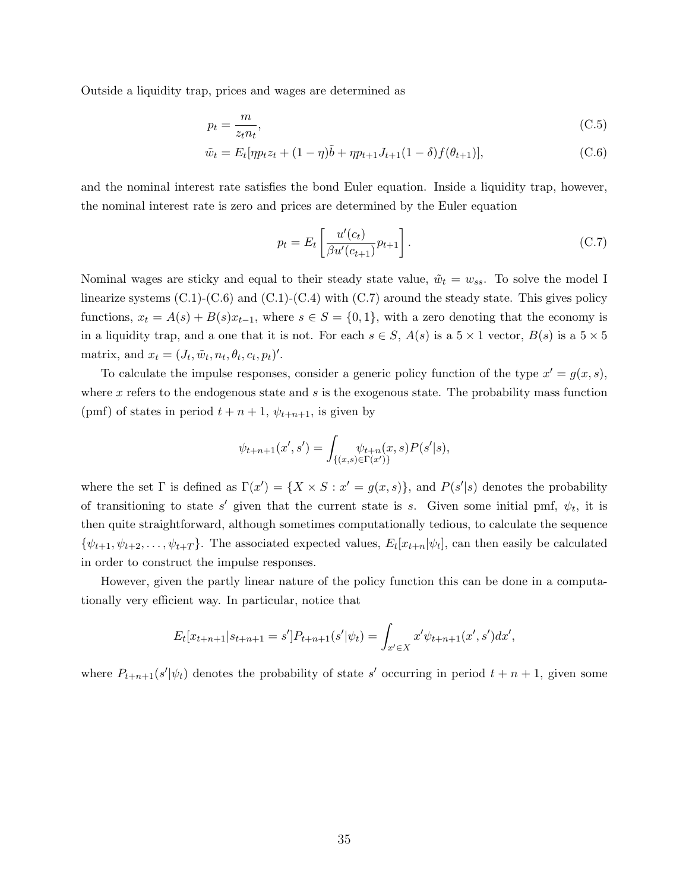Outside a liquidity trap, prices and wages are determined as

$$
p_t = \frac{m}{z_t n_t},\tag{C.5}
$$

$$
\tilde{w}_t = E_t[\eta p_t z_t + (1 - \eta)\tilde{b} + \eta p_{t+1} J_{t+1} (1 - \delta) f(\theta_{t+1})],
$$
\n(C.6)

and the nominal interest rate satisfies the bond Euler equation. Inside a liquidity trap, however, the nominal interest rate is zero and prices are determined by the Euler equation

$$
p_t = E_t \left[ \frac{u'(c_t)}{\beta u'(c_{t+1})} p_{t+1} \right].
$$
 (C.7)

Nominal wages are sticky and equal to their steady state value,  $\tilde{w}_t = w_{ss}$ . To solve the model I linearize systems  $(C.1)-(C.6)$  and  $(C.1)-(C.4)$  with  $(C.7)$  around the steady state. This gives policy functions,  $x_t = A(s) + B(s)x_{t-1}$ , where  $s \in S = \{0, 1\}$ , with a zero denoting that the economy is in a liquidity trap, and a one that it is not. For each  $s \in S$ ,  $A(s)$  is a  $5 \times 1$  vector,  $B(s)$  is a  $5 \times 5$ matrix, and  $x_t = (J_t, \tilde{w}_t, n_t, \theta_t, c_t, p_t)'$ .

To calculate the impulse responses, consider a generic policy function of the type  $x' = g(x, s)$ , where  $x$  refers to the endogenous state and  $s$  is the exogenous state. The probability mass function (pmf) of states in period  $t + n + 1$ ,  $\psi_{t+n+1}$ , is given by

$$
\psi_{t+n+1}(x',s') = \int_{\{(x,s)\in \Gamma(x')\}} \psi_{t+n}(x,s) P(s'|s),
$$

where the set  $\Gamma$  is defined as  $\Gamma(x') = \{X \times S : x' = g(x, s)\}\$ , and  $P(s'|s)$  denotes the probability of transitioning to state s' given that the current state is s. Given some initial pmf,  $\psi_t$ , it is then quite straightforward, although sometimes computationally tedious, to calculate the sequence  $\{\psi_{t+1}, \psi_{t+2}, \dots, \psi_{t+T}\}.$  The associated expected values,  $E_t[x_{t+n}|\psi_t]$ , can then easily be calculated in order to construct the impulse responses.

However, given the partly linear nature of the policy function this can be done in a computationally very efficient way. In particular, notice that

$$
E_t[x_{t+n+1}|s_{t+n+1} = s']P_{t+n+1}(s'|\psi_t) = \int_{x' \in X} x'\psi_{t+n+1}(x',s')dx',
$$

where  $P_{t+n+1}(s'|\psi_t)$  denotes the probability of state s' occurring in period  $t+n+1$ , given some